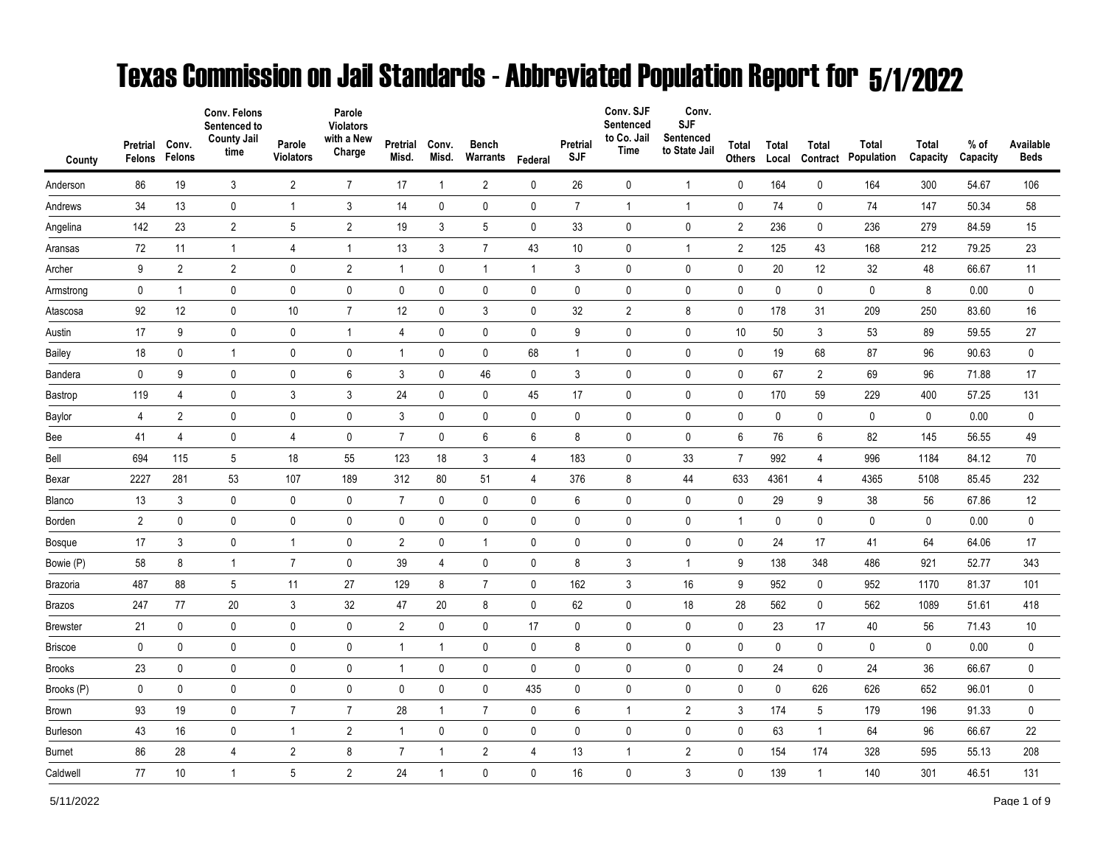## Texas Commission on Jail Standards - Abbreviated Population Report for 5/1/2022

|                 | Pretrial       | Conv.<br>Felons | Conv. Felons<br>Sentenced to<br><b>County Jail</b><br>time | Parole<br><b>Violators</b> | Parole<br><b>Violators</b><br>with a New<br>Charge | Pretrial<br>Misd. | Conv.<br>Misd. | <b>Bench</b><br>Warrants |             | Pretrial<br><b>SJF</b> | Conv. SJF<br>Sentenced<br>to Co. Jail<br><b>Time</b> | Conv.<br><b>SJF</b><br>Sentenced<br>to State Jail | Total          | Total       | Total          | Total<br>Population | Total<br>Capacity | % of<br>Capacity | Available<br><b>Beds</b> |
|-----------------|----------------|-----------------|------------------------------------------------------------|----------------------------|----------------------------------------------------|-------------------|----------------|--------------------------|-------------|------------------------|------------------------------------------------------|---------------------------------------------------|----------------|-------------|----------------|---------------------|-------------------|------------------|--------------------------|
| County          | Felons         |                 |                                                            |                            |                                                    |                   |                |                          | Federal     |                        |                                                      |                                                   | <b>Others</b>  | Local       | Contract       |                     |                   |                  |                          |
| Anderson        | 86             | 19              | 3                                                          | $\overline{2}$             | $\overline{7}$                                     | 17                | $\mathbf{1}$   | $\overline{2}$           | 0           | 26                     | 0                                                    | $\overline{1}$                                    | 0              | 164         | $\mathbf 0$    | 164                 | 300               | 54.67            | 106                      |
| Andrews         | 34             | 13              | 0                                                          | $\mathbf{1}$               | $\mathfrak{Z}$                                     | 14                | 0              | $\pmb{0}$                | 0           | $\overline{7}$         | $\mathbf{1}$                                         | $\overline{1}$                                    | 0              | 74          | 0              | 74                  | 147               | 50.34            | 58                       |
| Angelina        | 142            | 23              | $\overline{2}$                                             | 5                          | $\sqrt{2}$                                         | 19                | 3              | 5                        | $\pmb{0}$   | 33                     | $\mathbf 0$                                          | $\pmb{0}$                                         | $\overline{c}$ | 236         | 0              | 236                 | 279               | 84.59            | 15                       |
| Aransas         | 72             | 11              | 1                                                          | 4                          | $\mathbf{1}$                                       | 13                | 3              | $\overline{7}$           | 43          | 10                     | 0                                                    | 1                                                 | $\mathbf{2}$   | 125         | 43             | 168                 | 212               | 79.25            | 23                       |
| Archer          | 9              | $\overline{2}$  | $\overline{2}$                                             | 0                          | $\overline{2}$                                     | $\mathbf{1}$      | 0              | $\mathbf{1}$             | 1           | 3                      | 0                                                    | $\mathbf 0$                                       | 0              | 20          | 12             | 32                  | 48                | 66.67            | 11                       |
| Armstrong       | 0              | $\mathbf{1}$    | 0                                                          | $\pmb{0}$                  | $\mathbf 0$                                        | $\mathbf 0$       | $\mathbf 0$    | $\pmb{0}$                | $\mathbf 0$ | 0                      | $\mathbf 0$                                          | $\mathbf 0$                                       | 0              | 0           | $\mathbf 0$    | 0                   | 8                 | 0.00             | $\pmb{0}$                |
| Atascosa        | 92             | 12              | 0                                                          | 10                         | $\overline{7}$                                     | 12                | 0              | 3                        | $\mathbf 0$ | 32                     | $\overline{2}$                                       | 8                                                 | 0              | 178         | 31             | 209                 | 250               | 83.60            | 16                       |
| Austin          | 17             | 9               | 0                                                          | $\pmb{0}$                  | $\mathbf{1}$                                       | $\overline{4}$    | 0              | $\pmb{0}$                | $\mathbf 0$ | 9                      | $\pmb{0}$                                            | $\pmb{0}$                                         | 10             | 50          | 3              | 53                  | 89                | 59.55            | 27                       |
| Bailey          | 18             | 0               | $\mathbf{1}$                                               | 0                          | 0                                                  | $\mathbf{1}$      | 0              | 0                        | 68          | $\mathbf{1}$           | 0                                                    | 0                                                 | 0              | 19          | 68             | 87                  | 96                | 90.63            | $\mathbf 0$              |
| Bandera         | $\mathbf 0$    | 9               | 0                                                          | $\pmb{0}$                  | 6                                                  | 3                 | $\mathbf 0$    | 46                       | $\mathbf 0$ | 3                      | $\mathbf 0$                                          | $\mathbf 0$                                       | 0              | 67          | $\overline{2}$ | 69                  | 96                | 71.88            | 17                       |
| Bastrop         | 119            | 4               | 0                                                          | 3                          | 3                                                  | 24                | 0              | 0                        | 45          | 17                     | 0                                                    | $\pmb{0}$                                         | 0              | 170         | 59             | 229                 | 400               | 57.25            | 131                      |
| Baylor          | 4              | $\overline{2}$  | 0                                                          | $\pmb{0}$                  | $\pmb{0}$                                          | 3                 | $\pmb{0}$      | $\pmb{0}$                | $\mathbf 0$ | 0                      | $\mathbf 0$                                          | $\pmb{0}$                                         | 0              | $\pmb{0}$   | $\pmb{0}$      | $\mathbf 0$         | $\pmb{0}$         | 0.00             | $\pmb{0}$                |
| Bee             | 41             | 4               | 0                                                          | 4                          | $\mathbf 0$                                        | $\overline{7}$    | $\mathbf 0$    | 6                        | 6           | 8                      | $\mathbf 0$                                          | $\mathbf 0$                                       | 6              | 76          | 6              | 82                  | 145               | 56.55            | 49                       |
| Bell            | 694            | 115             | 5                                                          | 18                         | 55                                                 | 123               | 18             | 3                        | 4           | 183                    | 0                                                    | 33                                                | $\overline{7}$ | 992         | 4              | 996                 | 1184              | 84.12            | 70                       |
| Bexar           | 2227           | 281             | 53                                                         | 107                        | 189                                                | 312               | 80             | 51                       | 4           | 376                    | 8                                                    | 44                                                | 633            | 4361        | 4              | 4365                | 5108              | 85.45            | 232                      |
| Blanco          | 13             | 3               | 0                                                          | $\mathbf 0$                | 0                                                  | $\overline{7}$    | 0              | 0                        | 0           | 6                      | 0                                                    | 0                                                 | 0              | 29          | 9              | 38                  | 56                | 67.86            | 12                       |
| Borden          | $\overline{2}$ | 0               | 0                                                          | $\pmb{0}$                  | $\pmb{0}$                                          | $\mathbf 0$       | $\mathbf 0$    | $\pmb{0}$                | $\pmb{0}$   | 0                      | $\mathbf 0$                                          | $\pmb{0}$                                         | $\mathbf{1}$   | $\mathbf 0$ | $\mathbf 0$    | 0                   | 0                 | 0.00             | $\pmb{0}$                |
| Bosque          | 17             | 3               | 0                                                          | $\overline{1}$             | $\pmb{0}$                                          | $\sqrt{2}$        | $\mathbf 0$    | $\mathbf{1}$             | $\mathbf 0$ | 0                      | $\mathbf 0$                                          | $\pmb{0}$                                         | 0              | 24          | 17             | 41                  | 64                | 64.06            | 17                       |
| Bowie (P)       | 58             | 8               | $\mathbf{1}$                                               | $\overline{7}$             | $\pmb{0}$                                          | 39                | 4              | $\pmb{0}$                | 0           | 8                      | 3                                                    | $\overline{1}$                                    | 9              | 138         | 348            | 486                 | 921               | 52.77            | 343                      |
| Brazoria        | 487            | 88              | 5                                                          | 11                         | 27                                                 | 129               | 8              | $\overline{7}$           | 0           | 162                    | 3                                                    | 16                                                | 9              | 952         | $\mathbf 0$    | 952                 | 1170              | 81.37            | 101                      |
| Brazos          | 247            | 77              | 20                                                         | 3                          | 32                                                 | 47                | 20             | 8                        | 0           | 62                     | 0                                                    | 18                                                | 28             | 562         | 0              | 562                 | 1089              | 51.61            | 418                      |
| <b>Brewster</b> | 21             | 0               | 0                                                          | $\pmb{0}$                  | $\pmb{0}$                                          | $\overline{2}$    | 0              | $\pmb{0}$                | 17          | 0                      | 0                                                    | 0                                                 | 0              | 23          | 17             | 40                  | 56                | 71.43            | 10                       |
| Briscoe         | $\pmb{0}$      | 0               | 0                                                          | 0                          | $\pmb{0}$                                          | -1                | $\mathbf{1}$   | 0                        | 0           | 8                      | 0                                                    | 0                                                 | 0              | 0           | 0              | 0                   | 0                 | 0.00             | $\pmb{0}$                |
| <b>Brooks</b>   | 23             | 0               | 0                                                          | $\pmb{0}$                  | 0                                                  | $\mathbf{1}$      | $\mathbf 0$    | 0                        | 0           | 0                      | 0                                                    | $\mathbf 0$                                       | 0              | 24          | 0              | 24                  | 36                | 66.67            | $\mathbf 0$              |
| Brooks (P)      | $\mathbf 0$    | $\mathbf 0$     | 0                                                          | $\pmb{0}$                  | $\pmb{0}$                                          | $\pmb{0}$         | 0              | $\pmb{0}$                | 435         | 0                      | 0                                                    | 0                                                 | 0              | 0           | 626            | 626                 | 652               | 96.01            | $\pmb{0}$                |
| <b>Brown</b>    | 93             | 19              | 0                                                          | $\overline{7}$             | $\overline{7}$                                     | 28                | $\mathbf{1}$   | $\overline{7}$           | 0           | 6                      | $\mathbf{1}$                                         | $\overline{2}$                                    | 3              | 174         | 5              | 179                 | 196               | 91.33            | $\pmb{0}$                |
| <b>Burleson</b> | 43             | 16              | 0                                                          | $\mathbf{1}$               | $\overline{2}$                                     | $\mathbf{1}$      | $\pmb{0}$      | $\pmb{0}$                | $\mathbf 0$ | 0                      | $\mathbf 0$                                          | $\pmb{0}$                                         | 0              | 63          | $\mathbf{1}$   | 64                  | 96                | 66.67            | 22                       |
| Burnet          | 86             | 28              | 4                                                          | $\overline{2}$             | 8                                                  | $\overline{7}$    | -1             | $\overline{2}$           | 4           | 13                     | 1                                                    | $\overline{2}$                                    | 0              | 154         | 174            | 328                 | 595               | 55.13            | 208                      |
| Caldwell        | 77             | 10              | $\mathbf{1}$                                               | 5                          | $\overline{2}$                                     | 24                | $\mathbf{1}$   | $\mathbf 0$              | 0           | 16                     | 0                                                    | 3                                                 | 0              | 139         | $\mathbf{1}$   | 140                 | 301               | 46.51            | 131                      |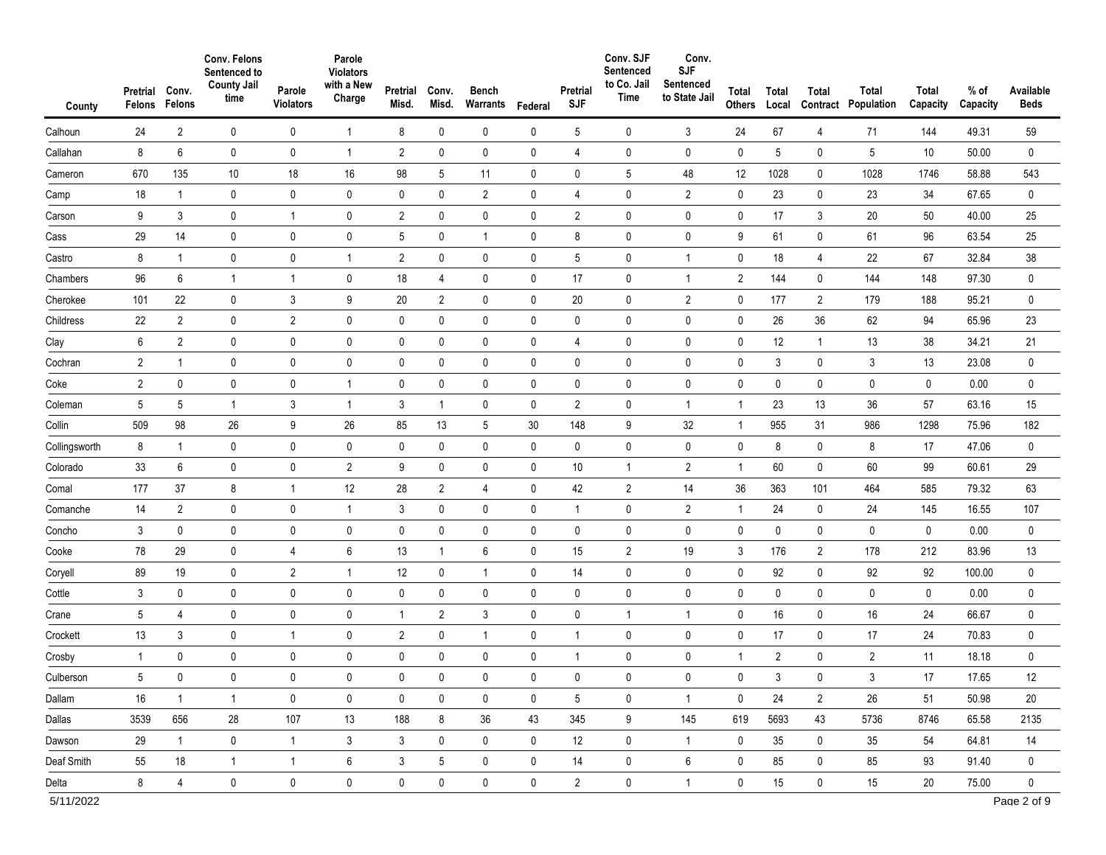| $\overline{2}$<br>24<br>Calhoun<br>8<br>6<br>Callahan<br>670<br>135<br>Cameron<br>18<br>$\mathbf{1}$<br>Camp<br>3<br>9<br>Carson<br>Cass<br>29<br>14<br>8<br>Castro<br>$\mathbf{1}$<br>96<br>6<br>Chambers<br>22<br>101<br>Cherokee<br>Childress<br>$\overline{2}$<br>22 | Sentenced to<br><b>County Jail</b><br>Parole<br>time<br><b>Violators</b> | Parole<br><b>Violators</b><br>with a New<br>Charge | Pretrial<br>Misd. | Conv.<br>Misd. | <b>Bench</b><br>Warrants | Federal     | Pretrial<br><b>SJF</b> | Conv. SJF<br>Sentenced<br>to Co. Jail<br>Time | Conv.<br><b>SJF</b><br>Sentenced<br>to State Jail | Total<br><b>Others</b> | Total<br>Local          | Total<br>Contract | Total<br>Population | Total<br>Capacity | $%$ of<br>Capacity | Available<br><b>Beds</b>   |
|--------------------------------------------------------------------------------------------------------------------------------------------------------------------------------------------------------------------------------------------------------------------------|--------------------------------------------------------------------------|----------------------------------------------------|-------------------|----------------|--------------------------|-------------|------------------------|-----------------------------------------------|---------------------------------------------------|------------------------|-------------------------|-------------------|---------------------|-------------------|--------------------|----------------------------|
|                                                                                                                                                                                                                                                                          | 0<br>0                                                                   | $\mathbf{1}$                                       | 8                 | $\mathbf 0$    | 0                        | $\mathbf 0$ | 5                      | 0                                             | 3                                                 | 24                     | 67                      | 4                 | 71                  | 144               | 49.31              | 59                         |
|                                                                                                                                                                                                                                                                          | $\mathbf 0$<br>$\pmb{0}$                                                 | $\overline{1}$                                     | $\overline{2}$    | $\mathbf 0$    | $\pmb{0}$                | $\mathbf 0$ | 4                      | 0                                             | 0                                                 | $\pmb{0}$              | 5                       | 0                 | 5                   | 10 <sup>°</sup>   | 50.00              | $\pmb{0}$                  |
|                                                                                                                                                                                                                                                                          | 10<br>18                                                                 | 16                                                 | 98                | 5              | 11                       | $\mathbf 0$ | $\pmb{0}$              | 5                                             | 48                                                | 12                     | 1028                    | 0                 | 1028                | 1746              | 58.88              | 543                        |
|                                                                                                                                                                                                                                                                          | 0<br>0                                                                   | $\pmb{0}$                                          | 0                 | 0              | $\overline{2}$           | $\mathbf 0$ | 4                      | $\mathbf 0$                                   | $\overline{2}$                                    | 0                      | 23                      | 0                 | 23                  | 34                | 67.65              | 0                          |
|                                                                                                                                                                                                                                                                          | 0<br>$\mathbf{1}$                                                        | $\pmb{0}$                                          | $\overline{2}$    | $\pmb{0}$      | 0                        | $\pmb{0}$   | $\overline{2}$         | $\pmb{0}$                                     | 0                                                 | $\pmb{0}$              | 17                      | 3                 | 20                  | 50                | 40.00              | 25                         |
|                                                                                                                                                                                                                                                                          | $\mathbf 0$<br>0                                                         | $\pmb{0}$                                          | 5                 | 0              | $\mathbf{1}$             | $\mathbf 0$ | 8                      | $\mathbf 0$                                   | 0                                                 | 9                      | 61                      | 0                 | 61                  | 96                | 63.54              | 25                         |
|                                                                                                                                                                                                                                                                          | 0<br>0                                                                   | $\mathbf{1}$                                       | $\overline{2}$    | $\pmb{0}$      | 0                        | $\mathbf 0$ | $\sqrt{5}$             | $\pmb{0}$                                     | $\mathbf{1}$                                      | $\pmb{0}$              | 18                      | 4                 | 22                  | 67                | 32.84              | 38                         |
|                                                                                                                                                                                                                                                                          | $\mathbf{1}$<br>$\mathbf{1}$                                             | $\pmb{0}$                                          | 18                | 4              | $\pmb{0}$                | $\mathbf 0$ | 17                     | $\mathbf 0$                                   | $\mathbf{1}$                                      | $\overline{2}$         | 144                     | 0                 | 144                 | 148               | 97.30              | 0                          |
|                                                                                                                                                                                                                                                                          | 3<br>0                                                                   | 9                                                  | 20                | $\overline{2}$ | $\pmb{0}$                | $\mathbf 0$ | 20                     | $\mathbf 0$                                   | $\overline{2}$                                    | 0                      | 177                     | $\overline{2}$    | 179                 | 188               | 95.21              | 0                          |
|                                                                                                                                                                                                                                                                          | $\pmb{0}$<br>$\overline{2}$                                              | $\pmb{0}$                                          | $\pmb{0}$         | $\pmb{0}$      | 0                        | $\mathbf 0$ | 0                      | $\mathbf 0$                                   | $\mathbf 0$                                       | $\pmb{0}$              | 26                      | 36                | 62                  | 94                | 65.96              | 23                         |
| 6<br>$\overline{2}$<br>Clay                                                                                                                                                                                                                                              | 0<br>0                                                                   | $\pmb{0}$                                          | 0                 | 0              | $\pmb{0}$                | $\mathbf 0$ | 4                      | $\pmb{0}$                                     | $\pmb{0}$                                         | 0                      | 12                      | $\mathbf{1}$      | 13                  | 38                | 34.21              | 21                         |
| $\overline{\mathbf{c}}$<br>Cochran<br>$\mathbf{1}$                                                                                                                                                                                                                       | 0<br>0                                                                   | $\pmb{0}$                                          | 0                 | $\mathbf 0$    | $\pmb{0}$                | $\pmb{0}$   | 0                      | $\pmb{0}$                                     | 0                                                 | $\pmb{0}$              | 3                       | 0                 | 3                   | 13                | 23.08              | $\pmb{0}$                  |
| $\overline{\mathbf{c}}$<br>$\pmb{0}$<br>Coke                                                                                                                                                                                                                             | 0<br>0                                                                   | $\mathbf{1}$                                       | 0                 | 0              | $\pmb{0}$                | $\mathbf 0$ | $\pmb{0}$              | $\pmb{0}$                                     | 0                                                 | $\mathbf 0$            | 0                       | 0                 | 0                   | 0                 | 0.00               | $\pmb{0}$                  |
| Coleman<br>5<br>5                                                                                                                                                                                                                                                        | 3<br>$\mathbf 1$                                                         | $\overline{1}$                                     | $\mathfrak{Z}$    | $\mathbf{1}$   | $\pmb{0}$                | $\mathbf 0$ | $\overline{2}$         | 0                                             | $\mathbf{1}$                                      | $\mathbf{1}$           | 23                      | 13                | 36                  | 57                | 63.16              | 15                         |
| 509<br>98<br>Collin                                                                                                                                                                                                                                                      | 26<br>9                                                                  | 26                                                 | 85                | 13             | 5                        | 30          | 148                    | 9                                             | 32                                                | $\mathbf{1}$           | 955                     | 31                | 986                 | 1298              | 75.96              | 182                        |
| 8<br>Collingsworth<br>$\mathbf{1}$                                                                                                                                                                                                                                       | 0<br>0                                                                   | $\pmb{0}$                                          | 0                 | 0              | $\pmb{0}$                | $\mathbf 0$ | 0                      | $\pmb{0}$                                     | 0                                                 | 0                      | 8                       | 0                 | 8                   | 17                | 47.06              | 0                          |
| 33<br>6<br>Colorado                                                                                                                                                                                                                                                      | 0<br>0                                                                   | $\overline{2}$                                     | 9                 | $\pmb{0}$      | $\pmb{0}$                | $\mathbf 0$ | $10$                   | $\mathbf{1}$                                  | $\overline{2}$                                    | $\mathbf{1}$           | 60                      | 0                 | 60                  | 99                | 60.61              | 29                         |
| 37<br>177<br>Comal                                                                                                                                                                                                                                                       | 8<br>1                                                                   | 12                                                 | 28                | $\overline{2}$ | $\overline{4}$           | $\mathbf 0$ | 42                     | $\overline{2}$                                | 14                                                | 36                     | 363                     | 101               | 464                 | 585               | 79.32              | 63                         |
| 14<br>$\overline{2}$<br>Comanche                                                                                                                                                                                                                                         | 0<br>0                                                                   | $\mathbf{1}$                                       | 3                 | $\mathbf 0$    | $\pmb{0}$                | $\pmb{0}$   | $\mathbf{1}$           | $\pmb{0}$                                     | $\sqrt{2}$                                        | $\mathbf{1}$           | 24                      | 0                 | 24                  | 145               | 16.55              | 107                        |
| 3<br>0<br>Concho                                                                                                                                                                                                                                                         | 0<br>0                                                                   | $\pmb{0}$                                          | 0                 | 0              | 0                        | $\mathbf 0$ | 0                      | $\mathbf 0$                                   | 0                                                 | 0                      | 0                       | 0                 | 0                   | 0                 | 0.00               | 0                          |
| Cooke<br>78<br>29                                                                                                                                                                                                                                                        | 0<br>4                                                                   | $\,6\,$                                            | 13                | $\mathbf{1}$   | $\boldsymbol{6}$         | $\mathbf 0$ | 15                     | $\overline{2}$                                | 19                                                | 3                      | 176                     | 2                 | 178                 | 212               | 83.96              | 13                         |
| 19<br>89<br>Coryell                                                                                                                                                                                                                                                      | 0<br>$\overline{2}$                                                      | $\overline{1}$                                     | 12                | 0              | $\overline{1}$           | $\mathbf 0$ | 14                     | $\pmb{0}$                                     | 0                                                 | $\pmb{0}$              | 92                      | 0                 | 92                  | 92                | 100.00             | 0                          |
| Cottle<br>3<br>0                                                                                                                                                                                                                                                         | 0<br>0                                                                   | $\pmb{0}$                                          | 0                 | 0              | $\pmb{0}$                | 0           | 0                      | $\pmb{0}$                                     | 0                                                 | $\mathbf 0$            | 0                       | 0                 | 0                   | 0                 | 0.00               | $\pmb{0}$                  |
| 5<br>4<br>Crane                                                                                                                                                                                                                                                          | 0<br>0                                                                   | $\pmb{0}$                                          | $\mathbf{1}$      | $\overline{2}$ | 3                        | $\pmb{0}$   | $\pmb{0}$              | $\mathbf{1}$                                  | $\mathbf{1}$                                      | 0                      | 16                      | 0                 | 16                  | 24                | 66.67              | 0                          |
| 13<br>3<br>Crockett                                                                                                                                                                                                                                                      | 0<br>$\mathbf{1}$                                                        | $\pmb{0}$                                          | 2                 | $\pmb{0}$      | $\mathbf{1}$             | 0           | $\mathbf{1}$           | $\pmb{0}$                                     | $\pmb{0}$                                         | $\mathbf 0$            | 17                      | 0                 | 17                  | 24                | 70.83              | $\pmb{0}$                  |
| 0<br>Crosby<br>$\mathbf{1}$                                                                                                                                                                                                                                              | 0<br>0                                                                   | $\pmb{0}$                                          | 0                 | $\mathbf 0$    | $\pmb{0}$                | 0           | $\mathbf{1}$           | 0                                             | 0                                                 | $\mathbf{1}$           | $\overline{\mathbf{c}}$ | 0                 | $\overline{2}$      | 11                | 18.18              | 0                          |
| 5<br>0<br>Culberson                                                                                                                                                                                                                                                      | 0<br>0                                                                   | 0                                                  | 0                 | 0              | 0                        | 0           | $\mathbf 0$            | 0                                             |                                                   | $\mathbf{0}$           | 3                       | 0                 | 3                   | 17                | 17.65              | 12                         |
| 16<br>$\mathbf{1}$<br>Dallam                                                                                                                                                                                                                                             | $\mathbf 0$<br>$\overline{1}$                                            | $\mathbf 0$                                        | $\mathbf 0$       | $\mathbf 0$    | $\mathsf{O}$             | $\mathbf 0$ | $5\overline{)}$        | $\mathbf 0$                                   | $\mathbf{1}$                                      | $\mathbf 0$            | 24                      | $\overline{2}$    | 26                  | 51                | 50.98              | 20                         |
| Dallas<br>3539<br>656                                                                                                                                                                                                                                                    | $28\,$<br>107                                                            | 13                                                 | 188               | 8              | 36                       | 43          | 345                    | 9                                             | 145                                               | 619                    | 5693                    | 43                | 5736                | 8746              | 65.58              | 2135                       |
| 29<br>$\mathbf{1}$<br>Dawson                                                                                                                                                                                                                                             | $\mathbf 0$<br>$\mathbf{1}$                                              | 3                                                  | 3                 | 0              | $\mathsf{O}$             | $\mathbf 0$ | 12                     | $\mathbf 0$                                   | $\mathbf{1}$                                      | $\mathbf 0$            | 35                      | 0                 | 35                  | 54                | 64.81              | 14                         |
| Deaf Smith<br>18<br>55                                                                                                                                                                                                                                                   | $\mathbf{1}$<br>$\overline{1}$                                           | $\boldsymbol{6}$                                   | 3                 | 5              | $\pmb{0}$                | $\mathbf 0$ | 14                     | $\mathbf 0$                                   | 6                                                 | 0                      | 85                      | 0                 | 85                  | 93                | 91.40              | $\mathbf 0$                |
| 8<br>Delta<br>4<br>5/11/2022                                                                                                                                                                                                                                             | $\mathbf 0$<br>$\mathbf 0$                                               | $\mathbf 0$                                        | $\mathbf 0$       | 0              | $\mathbf 0$              | $\mathbf 0$ | $\overline{2}$         | $\mathbf 0$                                   | $\mathbf{1}$                                      | $\mathbf 0$            | 15                      | $\mathbf 0$       | 15                  | 20                | 75.00              | $\mathbf 0$<br>Page 2 of 9 |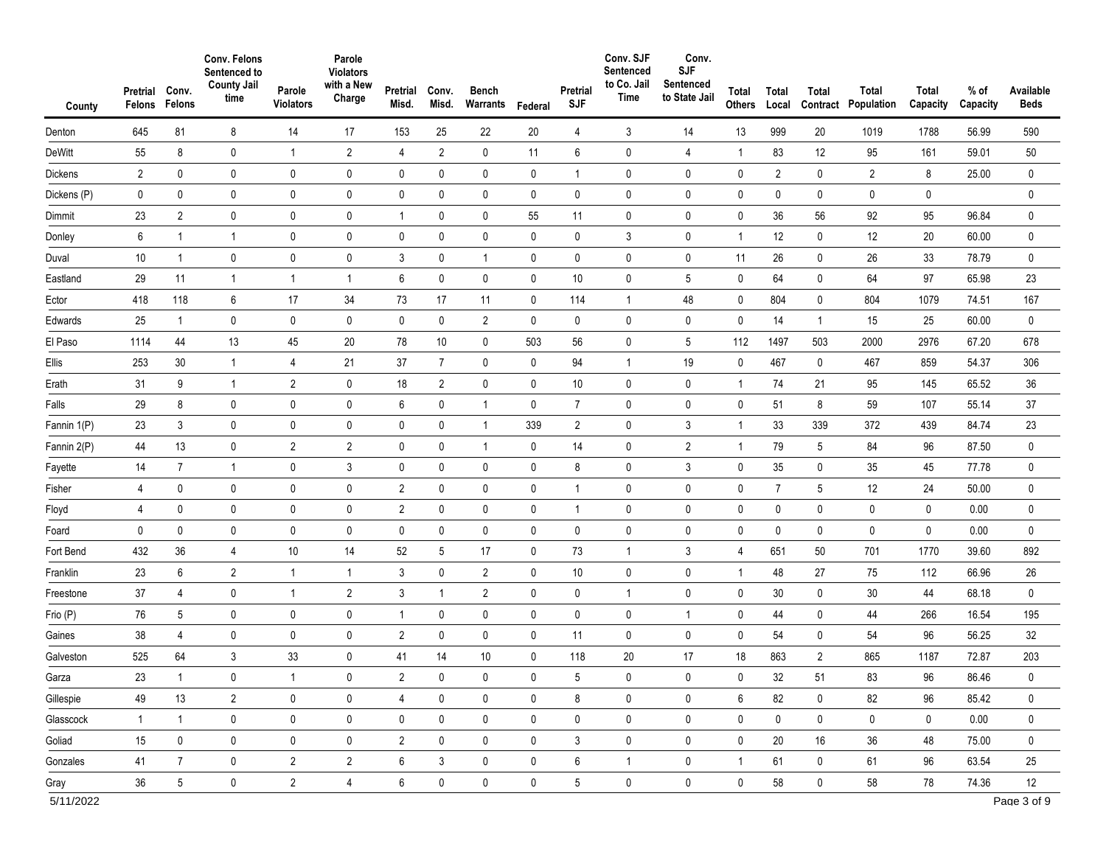| County      | Pretrial<br>Felons | Conv.<br>Felons  | Conv. Felons<br>Sentenced to<br><b>County Jail</b><br>time | Parole<br><b>Violators</b> | Parole<br><b>Violators</b><br>with a New<br>Charge | Pretrial<br>Misd. | Conv.<br>Misd. | <b>Bench</b><br>Warrants | Federal      | Pretrial<br><b>SJF</b> | Conv. SJF<br>Sentenced<br>to Co. Jail<br>Time | Conv.<br><b>SJF</b><br>Sentenced<br>to State Jail | Total<br>Others | Total<br>Local | Total<br>Contract | Total<br>Population | Total<br>Capacity | $%$ of<br>Capacity | Available<br><b>Beds</b> |
|-------------|--------------------|------------------|------------------------------------------------------------|----------------------------|----------------------------------------------------|-------------------|----------------|--------------------------|--------------|------------------------|-----------------------------------------------|---------------------------------------------------|-----------------|----------------|-------------------|---------------------|-------------------|--------------------|--------------------------|
| Denton      | 645                | 81               | 8                                                          | 14                         | 17                                                 | 153               | 25             | 22                       | 20           | 4                      | 3                                             | 14                                                | 13              | 999            | 20                | 1019                | 1788              | 56.99              | 590                      |
| DeWitt      | 55                 | 8                | 0                                                          | $\mathbf{1}$               | $\overline{2}$                                     | 4                 | $\overline{2}$ | 0                        | 11           | 6                      | 0                                             | 4                                                 | $\mathbf{1}$    | 83             | 12                | 95                  | 161               | 59.01              | 50                       |
| Dickens     | $\overline{2}$     | 0                | 0                                                          | $\pmb{0}$                  | $\pmb{0}$                                          | 0                 | 0              | $\pmb{0}$                | 0            | $\mathbf{1}$           | 0                                             | 0                                                 | 0               | $\overline{2}$ | 0                 | $\overline{2}$      | 8                 | 25.00              | 0                        |
| Dickens (P) | 0                  | 0                | 0                                                          | $\pmb{0}$                  | $\pmb{0}$                                          | 0                 | 0              | $\pmb{0}$                | 0            | $\mathbf 0$            | 0                                             | 0                                                 | 0               | 0              | 0                 | 0                   | 0                 |                    | 0                        |
| Dimmit      | 23                 | $\overline{2}$   | 0                                                          | 0                          | $\pmb{0}$                                          | $\mathbf{1}$      | 0              | $\mathbf 0$              | 55           | 11                     | 0                                             | 0                                                 | 0               | 36             | 56                | 92                  | 95                | 96.84              | 0                        |
| Donley      | 6                  | $\mathbf{1}$     | 1                                                          | $\mathbf 0$                | $\pmb{0}$                                          | 0                 | 0              | $\pmb{0}$                | 0            | 0                      | 3                                             | 0                                                 | $\mathbf{1}$    | 12             | 0                 | 12                  | 20                | 60.00              | 0                        |
| Duval       | 10                 | $\mathbf{1}$     | 0                                                          | $\pmb{0}$                  | $\pmb{0}$                                          | 3                 | 0              | $\overline{1}$           | 0            | $\mathbf 0$            | $\pmb{0}$                                     | 0                                                 | 11              | 26             | 0                 | 26                  | 33                | 78.79              | 0                        |
| Eastland    | 29                 | 11               | 1                                                          | $\mathbf 1$                | $\mathbf{1}$                                       | 6                 | 0              | 0                        | 0            | 10                     | 0                                             | 5                                                 | 0               | 64             | 0                 | 64                  | 97                | 65.98              | 23                       |
| Ector       | 418                | 118              | 6                                                          | 17                         | 34                                                 | 73                | 17             | 11                       | 0            | 114                    | $\mathbf{1}$                                  | 48                                                | 0               | 804            | 0                 | 804                 | 1079              | 74.51              | 167                      |
| Edwards     | 25                 | $\mathbf{1}$     | 0                                                          | $\mathbf 0$                | $\pmb{0}$                                          | $\mathbf 0$       | 0              | $\overline{2}$           | 0            | 0                      | 0                                             | 0                                                 | 0               | 14             | 1                 | 15                  | 25                | 60.00              | 0                        |
| El Paso     | 1114               | 44               | 13                                                         | 45                         | 20                                                 | 78                | 10             | $\pmb{0}$                | 503          | 56                     | $\pmb{0}$                                     | 5                                                 | 112             | 1497           | 503               | 2000                | 2976              | 67.20              | 678                      |
| Ellis       | 253                | 30               | $\overline{1}$                                             | 4                          | 21                                                 | 37                | $\overline{7}$ | $\mathbf 0$              | 0            | 94                     | $\mathbf{1}$                                  | 19                                                | 0               | 467            | 0                 | 467                 | 859               | 54.37              | 306                      |
| Erath       | 31                 | 9                | $\overline{1}$                                             | $\overline{2}$             | $\pmb{0}$                                          | 18                | $\overline{2}$ | 0                        | 0            | 10                     | 0                                             | 0                                                 | $\mathbf{1}$    | 74             | 21                | 95                  | 145               | 65.52              | 36                       |
| Falls       | 29                 | 8                | 0                                                          | $\mathbf 0$                | $\pmb{0}$                                          | 6                 | 0              | $\overline{1}$           | 0            | $\overline{7}$         | 0                                             | 0                                                 | 0               | 51             | 8                 | 59                  | 107               | 55.14              | 37                       |
| Fannin 1(P) | 23                 | 3                | 0                                                          | $\mathbf 0$                | $\mathbf 0$                                        | $\mathbf 0$       | 0              | $\overline{1}$           | 339          | $\overline{2}$         | $\pmb{0}$                                     | 3                                                 | $\mathbf{1}$    | 33             | 339               | 372                 | 439               | 84.74              | 23                       |
| Fannin 2(P) | 44                 | 13               | 0                                                          | $\overline{2}$             | $\overline{2}$                                     | $\mathbf 0$       | 0              | $\mathbf{1}$             | 0            | 14                     | 0                                             | $\overline{2}$                                    | 1               | 79             | 5                 | 84                  | 96                | 87.50              | 0                        |
| Fayette     | 14                 | $\overline{7}$   | $\overline{1}$                                             | $\pmb{0}$                  | 3                                                  | $\mathbf 0$       | $\pmb{0}$      | $\pmb{0}$                | 0            | 8                      | $\mathbf 0$                                   | 3                                                 | $\pmb{0}$       | 35             | 0                 | 35                  | 45                | 77.78              | 0                        |
| Fisher      | 4                  | 0                | 0                                                          | $\mathbf 0$                | $\pmb{0}$                                          | $\overline{2}$    | 0              | $\pmb{0}$                | 0            | $\mathbf{1}$           | 0                                             | 0                                                 | 0               | $\overline{7}$ | 5                 | 12                  | 24                | 50.00              | $\pmb{0}$                |
| Floyd       | 4                  | $\pmb{0}$        | 0                                                          | $\mathbf 0$                | $\pmb{0}$                                          | $\overline{2}$    | 0              | $\pmb{0}$                | $\pmb{0}$    | $\mathbf{1}$           | $\pmb{0}$                                     | $\pmb{0}$                                         | 0               | 0              | 0                 | 0                   | 0                 | 0.00               | $\pmb{0}$                |
| Foard       | 0                  | $\pmb{0}$        | 0                                                          | $\mathbf 0$                | $\pmb{0}$                                          | $\mathbf 0$       | 0              | $\pmb{0}$                | 0            | 0                      | $\pmb{0}$                                     | 0                                                 | 0               | 0              | 0                 | 0                   | 0                 | 0.00               | $\pmb{0}$                |
| Fort Bend   | 432                | 36               | 4                                                          | 10                         | 14                                                 | 52                | 5              | 17                       | 0            | 73                     | 1                                             | 3                                                 | 4               | 651            | 50                | 701                 | 1770              | 39.60              | 892                      |
| Franklin    | 23                 | $\boldsymbol{6}$ | $\overline{2}$                                             | $\mathbf 1$                | $\mathbf{1}$                                       | 3                 | 0              | $\overline{2}$           | 0            | 10                     | $\pmb{0}$                                     | 0                                                 | $\mathbf{1}$    | 48             | 27                | 75                  | 112               | 66.96              | $26\,$                   |
| Freestone   | 37                 | 4                | 0                                                          | $\overline{1}$             | $\overline{2}$                                     | $\mathbf{3}$      | $\mathbf{1}$   | $\overline{2}$           | $\pmb{0}$    | $\mathbf 0$            | $\mathbf{1}$                                  | 0                                                 | $\pmb{0}$       | 30             | 0                 | 30                  | 44                | 68.18              | $\pmb{0}$                |
| Frio (P)    | 76                 | 5                | 0                                                          | $\mathbf 0$                | $\pmb{0}$                                          | $\mathbf{1}$      | 0              | 0                        | 0            | 0                      | 0                                             | $\mathbf{1}$                                      | 0               | 44             | 0                 | 44                  | 266               | 16.54              | 195                      |
| Gaines      | 38                 | 4                | 0                                                          | $\mathbf 0$                | $\pmb{0}$                                          | $\overline{2}$    | 0              | $\pmb{0}$                | 0            | 11                     | $\pmb{0}$                                     | $\mathbf 0$                                       | 0               | 54             | 0                 | 54                  | 96                | 56.25              | 32                       |
| Galveston   | 525                | 64               | 3                                                          | 33                         | $\pmb{0}$                                          | 41                | 14             | 10                       | 0            | 118                    | 20                                            | 17                                                | 18              | 863            | $\overline{2}$    | 865                 | 1187              | 72.87              | 203                      |
| Garza       | 23                 |                  | 0                                                          |                            | 0                                                  | $\sqrt{2}$        | $\mathbf 0$    | 0                        | $\mathbf{0}$ | 5                      | 0                                             | 0                                                 | $\mathbf 0$     | 32             | 51                | 83                  | 96                | 86.46              | 0                        |
| Gillespie   | 49                 | 13               | $\overline{2}$                                             | $\mathbf 0$                | $\mathbf 0$                                        | $\overline{4}$    | 0              | 0                        | 0            | 8                      | 0                                             | 0                                                 | 6               | 82             | $\mathbf 0$       | 82                  | 96                | 85.42              | 0                        |
| Glasscock   | $\mathbf{1}$       | $\mathbf{1}$     | $\pmb{0}$                                                  | $\pmb{0}$                  | $\pmb{0}$                                          | 0                 | 0              | $\mathbf 0$              | 0            | 0                      | $\mathbf 0$                                   | 0                                                 | 0               | 0              | 0                 | 0                   | $\mathbf 0$       | 0.00               | 0                        |
| Goliad      | 15                 | $\mathbf 0$      | $\pmb{0}$                                                  | $\mathbf 0$                | $\pmb{0}$                                          | $\overline{2}$    | 0              | $\pmb{0}$                | $\mathbf 0$  | 3                      | $\mathbf 0$                                   | 0                                                 | $\mathbf 0$     | 20             | 16                | 36                  | 48                | 75.00              | $\mathbf 0$              |
| Gonzales    | 41                 | $\overline{7}$   | $\pmb{0}$                                                  | $\overline{2}$             | $\overline{2}$                                     | 6                 | 3              | $\pmb{0}$                | $\mathbf 0$  | $\,6\,$                | $\mathbf{1}$                                  | 0                                                 | $\overline{1}$  | 61             | 0                 | 61                  | 96                | 63.54              | 25                       |
| Gray        | 36                 | $5\overline{)}$  | 0                                                          | $\overline{2}$             | $\overline{4}$                                     | 6                 | 0              | $\mathbf 0$              | $\mathbf 0$  | $5\overline{)}$        | $\mathbf 0$                                   | 0                                                 | $\mathbf 0$     | 58             | $\mathbf 0$       | 58                  | 78                | 74.36              | 12                       |
| 5/11/2022   |                    |                  |                                                            |                            |                                                    |                   |                |                          |              |                        |                                               |                                                   |                 |                |                   |                     |                   |                    | Page 3 of 9              |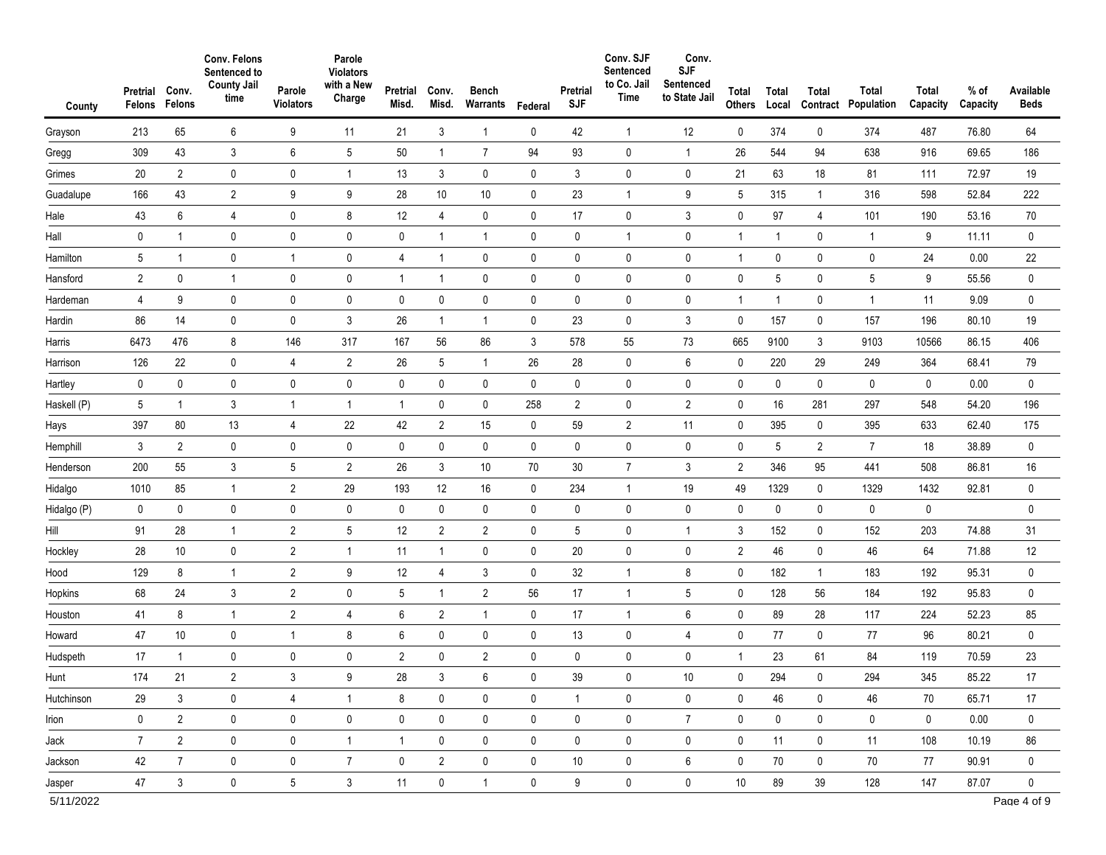| County      | Pretrial<br>Felons | Conv.<br>Felons | Conv. Felons<br>Sentenced to<br><b>County Jail</b><br>time | Parole<br><b>Violators</b> | Parole<br><b>Violators</b><br>with a New<br>Charge | Pretrial<br>Misd. | Conv.<br>Misd. | <b>Bench</b><br>Warrants | Federal     | Pretrial<br><b>SJF</b> | Conv. SJF<br>Sentenced<br>to Co. Jail<br>Time | Conv.<br><b>SJF</b><br>Sentenced<br>to State Jail | Total<br><b>Others</b> | Total<br>Local | Total<br>Contract | Total<br>Population | Total<br>Capacity | % of<br>Capacity | Available<br><b>Beds</b> |
|-------------|--------------------|-----------------|------------------------------------------------------------|----------------------------|----------------------------------------------------|-------------------|----------------|--------------------------|-------------|------------------------|-----------------------------------------------|---------------------------------------------------|------------------------|----------------|-------------------|---------------------|-------------------|------------------|--------------------------|
| Grayson     | 213                | 65              | 6                                                          | 9                          | 11                                                 | 21                | 3              | $\mathbf{1}$             | $\mathbf 0$ | 42                     | $\mathbf{1}$                                  | 12                                                | 0                      | 374            | 0                 | 374                 | 487               | 76.80            | 64                       |
| Gregg       | 309                | 43              | 3                                                          | 6                          | 5                                                  | 50                | $\mathbf{1}$   | $\overline{7}$           | 94          | 93                     | 0                                             | $\mathbf{1}$                                      | 26                     | 544            | 94                | 638                 | 916               | 69.65            | 186                      |
| Grimes      | 20                 | $\overline{2}$  | 0                                                          | $\pmb{0}$                  | $\mathbf{1}$                                       | 13                | $\mathfrak{Z}$ | $\mathbf 0$              | $\pmb{0}$   | 3                      | $\pmb{0}$                                     | 0                                                 | 21                     | 63             | 18                | 81                  | 111               | 72.97            | 19                       |
| Guadalupe   | 166                | 43              | $\overline{2}$                                             | 9                          | 9                                                  | 28                | 10             | 10                       | 0           | 23                     | $\mathbf{1}$                                  | 9                                                 | $5\phantom{.0}$        | 315            | $\mathbf{1}$      | 316                 | 598               | 52.84            | 222                      |
| Hale        | 43                 | 6               | 4                                                          | 0                          | 8                                                  | 12                | 4              | $\pmb{0}$                | $\mathbf 0$ | 17                     | $\mathbf 0$                                   | 3                                                 | $\pmb{0}$              | 97             | 4                 | 101                 | 190               | 53.16            | 70                       |
| Hall        | $\mathbf 0$        | $\mathbf{1}$    | 0                                                          | $\mathbf 0$                | $\pmb{0}$                                          | $\pmb{0}$         | $\mathbf{1}$   | $\mathbf{1}$             | $\mathbf 0$ | 0                      | $\mathbf{1}$                                  | 0                                                 | $\mathbf{1}$           | $\mathbf{1}$   | 0                 | $\mathbf{1}$        | 9                 | 11.11            | $\mathbf 0$              |
| Hamilton    | 5                  | $\mathbf 1$     | 0                                                          | $\mathbf 1$                | $\pmb{0}$                                          | 4                 | $\mathbf{1}$   | $\pmb{0}$                | $\mathbf 0$ | 0                      | $\pmb{0}$                                     | 0                                                 | $\mathbf{1}$           | 0              | 0                 | 0                   | 24                | 0.00             | 22                       |
| Hansford    | $\overline{2}$     | $\pmb{0}$       | 1                                                          | $\mathbf 0$                | $\pmb{0}$                                          | $\mathbf{1}$      | $\mathbf{1}$   | $\pmb{0}$                | $\pmb{0}$   | 0                      | $\pmb{0}$                                     | 0                                                 | $\mathbf 0$            | 5              | 0                 | 5                   | 9                 | 55.56            | $\pmb{0}$                |
| Hardeman    | 4                  | 9               | 0                                                          | $\pmb{0}$                  | $\pmb{0}$                                          | 0                 | $\pmb{0}$      | $\pmb{0}$                | $\mathbf 0$ | $\pmb{0}$              | $\pmb{0}$                                     | 0                                                 | $\mathbf{1}$           | 1              | 0                 | $\mathbf{1}$        | 11                | 9.09             | $\pmb{0}$                |
| Hardin      | 86                 | 14              | 0                                                          | $\pmb{0}$                  | 3                                                  | 26                | $\mathbf{1}$   | 1                        | $\mathbf 0$ | 23                     | $\pmb{0}$                                     | 3                                                 | $\pmb{0}$              | 157            | 0                 | 157                 | 196               | 80.10            | 19                       |
| Harris      | 6473               | 476             | 8                                                          | 146                        | 317                                                | 167               | 56             | 86                       | 3           | 578                    | 55                                            | 73                                                | 665                    | 9100           | 3                 | 9103                | 10566             | 86.15            | 406                      |
| Harrison    | 126                | 22              | 0                                                          | 4                          | $\overline{2}$                                     | 26                | 5              | 1                        | 26          | 28                     | $\mathbf 0$                                   | 6                                                 | 0                      | 220            | 29                | 249                 | 364               | 68.41            | 79                       |
| Hartley     | 0                  | $\pmb{0}$       | 0                                                          | $\pmb{0}$                  | $\pmb{0}$                                          | $\pmb{0}$         | $\pmb{0}$      | $\pmb{0}$                | $\pmb{0}$   | $\pmb{0}$              | $\pmb{0}$                                     | $\mathbf 0$                                       | $\pmb{0}$              | 0              | 0                 | 0                   | 0                 | 0.00             | $\pmb{0}$                |
| Haskell (P) | 5                  | 1               | 3                                                          | $\mathbf 1$                | $\mathbf{1}$                                       | $\mathbf{1}$      | 0              | 0                        | 258         | $\overline{2}$         | $\pmb{0}$                                     | $\overline{2}$                                    | $\pmb{0}$              | 16             | 281               | 297                 | 548               | 54.20            | 196                      |
| Hays        | 397                | 80              | 13                                                         | 4                          | 22                                                 | 42                | $\overline{2}$ | 15                       | $\mathbf 0$ | 59                     | $\overline{2}$                                | 11                                                | 0                      | 395            | 0                 | 395                 | 633               | 62.40            | 175                      |
| Hemphill    | 3                  | $\overline{2}$  | 0                                                          | $\pmb{0}$                  | $\pmb{0}$                                          | $\pmb{0}$         | $\pmb{0}$      | $\pmb{0}$                | $\pmb{0}$   | 0                      | $\pmb{0}$                                     | 0                                                 | $\pmb{0}$              | 5              | $\overline{2}$    | $\overline{7}$      | 18                | 38.89            | $\pmb{0}$                |
| Henderson   | 200                | 55              | 3                                                          | 5                          | $\overline{2}$                                     | 26                | 3              | 10                       | 70          | $30\,$                 | $\overline{7}$                                | 3                                                 | $\overline{2}$         | 346            | 95                | 441                 | 508               | 86.81            | 16                       |
| Hidalgo     | 1010               | 85              | $\overline{1}$                                             | $\overline{2}$             | 29                                                 | 193               | 12             | 16                       | $\mathbf 0$ | 234                    | $\mathbf{1}$                                  | 19                                                | 49                     | 1329           | 0                 | 1329                | 1432              | 92.81            | $\pmb{0}$                |
| Hidalgo (P) | 0                  | $\pmb{0}$       | 0                                                          | $\pmb{0}$                  | $\pmb{0}$                                          | 0                 | $\pmb{0}$      | $\pmb{0}$                | $\mathbf 0$ | $\pmb{0}$              | 0                                             | $\mathbf 0$                                       | 0                      | 0              | 0                 | 0                   | 0                 |                  | $\pmb{0}$                |
| Hill        | 91                 | 28              | 1                                                          | $\overline{2}$             | $\sqrt{5}$                                         | 12                | $\overline{2}$ | $\overline{2}$           | 0           | 5                      | 0                                             | $\mathbf{1}$                                      | 3                      | 152            | 0                 | 152                 | 203               | 74.88            | 31                       |
| Hockley     | 28                 | 10              | $\pmb{0}$                                                  | $\sqrt{2}$                 | $\mathbf{1}$                                       | 11                | $\mathbf{1}$   | $\pmb{0}$                | 0           | 20                     | 0                                             | $\mathbf 0$                                       | $\sqrt{2}$             | 46             | 0                 | 46                  | 64                | 71.88            | 12                       |
| Hood        | 129                | 8               | $\overline{1}$                                             | $\overline{2}$             | $\boldsymbol{9}$                                   | 12                | 4              | 3                        | $\mathbf 0$ | 32                     | $\mathbf{1}$                                  | 8                                                 | $\pmb{0}$              | 182            | $\mathbf{1}$      | 183                 | 192               | 95.31            | $\pmb{0}$                |
| Hopkins     | 68                 | 24              | 3                                                          | $\sqrt{2}$                 | $\pmb{0}$                                          | 5                 | $\mathbf{1}$   | $\overline{2}$           | 56          | 17                     | $\mathbf{1}$                                  | 5                                                 | 0                      | 128            | 56                | 184                 | 192               | 95.83            | $\pmb{0}$                |
| Houston     | 41                 | 8               | $\overline{1}$                                             | $\overline{2}$             | $\overline{4}$                                     | 6                 | $\overline{2}$ | $\overline{1}$           | $\mathbf 0$ | 17                     | $\mathbf{1}$                                  | 6                                                 | 0                      | 89             | 28                | 117                 | 224               | 52.23            | 85                       |
| Howard      | 47                 | 10              | 0                                                          | $\mathbf 1$                | $\bf 8$                                            | 6                 | $\mathbf 0$    | $\pmb{0}$                | 0           | 13                     | 0                                             | $\overline{4}$                                    | 0                      | 77             | 0                 | 77                  | 96                | 80.21            | $\pmb{0}$                |
| Hudspeth    | 17                 | $\mathbf{1}$    | 0                                                          | 0                          | $\pmb{0}$                                          | $\overline{2}$    | $\pmb{0}$      | $\overline{2}$           | 0           | 0                      | 0                                             | 0                                                 | $\mathbf{1}$           | 23             | 61                | 84                  | 119               | 70.59            | 23                       |
| Hunt        | 174                | 21              | 2                                                          | 3                          | 9                                                  | 28                | 3              | O                        | 0           | 39                     | 0                                             | 10                                                | 0                      | 294            | 0                 | 294                 | 345               | 85.22            | 17                       |
| Hutchinson  | 29                 | 3               | 0                                                          | 4                          | $\mathbf{1}$                                       | 8                 | $\mathbf 0$    | 0                        | $\mathbf 0$ | $\mathbf{1}$           | $\mathbf 0$                                   | 0                                                 | 0                      | 46             | 0                 | 46                  | 70                | 65.71            | 17                       |
| Irion       | $\mathbf 0$        | $\overline{2}$  | $\mathbf 0$                                                | $\pmb{0}$                  | $\pmb{0}$                                          | $\pmb{0}$         | 0              | $\pmb{0}$                | $\mathbf 0$ | $\mathbf 0$            | 0                                             | $\overline{7}$                                    | 0                      | $\mathbf 0$    | 0                 | $\mathsf{0}$        | $\mathbf 0$       | 0.00             | 0                        |
| Jack        | $\overline{7}$     | $\overline{2}$  | 0                                                          | 0                          | $\mathbf{1}$                                       | $\mathbf{1}$      | 0              | $\mathbf 0$              | $\mathbf 0$ | 0                      | $\mathbf 0$                                   | 0                                                 | 0                      | 11             | 0                 | 11                  | 108               | 10.19            | 86                       |
| Jackson     | 42                 | $\overline{7}$  | 0                                                          | 0                          | $\overline{7}$                                     | 0                 | $\overline{2}$ | $\pmb{0}$                | $\mathbf 0$ | 10                     | 0                                             | 6                                                 | 0                      | 70             | 0                 | 70                  | 77                | 90.91            | 0                        |
| Jasper      | 47                 | $\mathbf{3}$    | $\mathsf{0}$                                               | 5                          | $\mathbf{3}$                                       | 11                | $\mathsf{O}$   | $\mathbf{1}$             | $\mathbf 0$ | 9                      | $\mathbf 0$                                   | 0                                                 | 10                     | 89             | 39                | 128                 | 147               | 87.07            | $\mathbf 0$              |
| 5/11/2022   |                    |                 |                                                            |                            |                                                    |                   |                |                          |             |                        |                                               |                                                   |                        |                |                   |                     |                   |                  | Page 4 of 9              |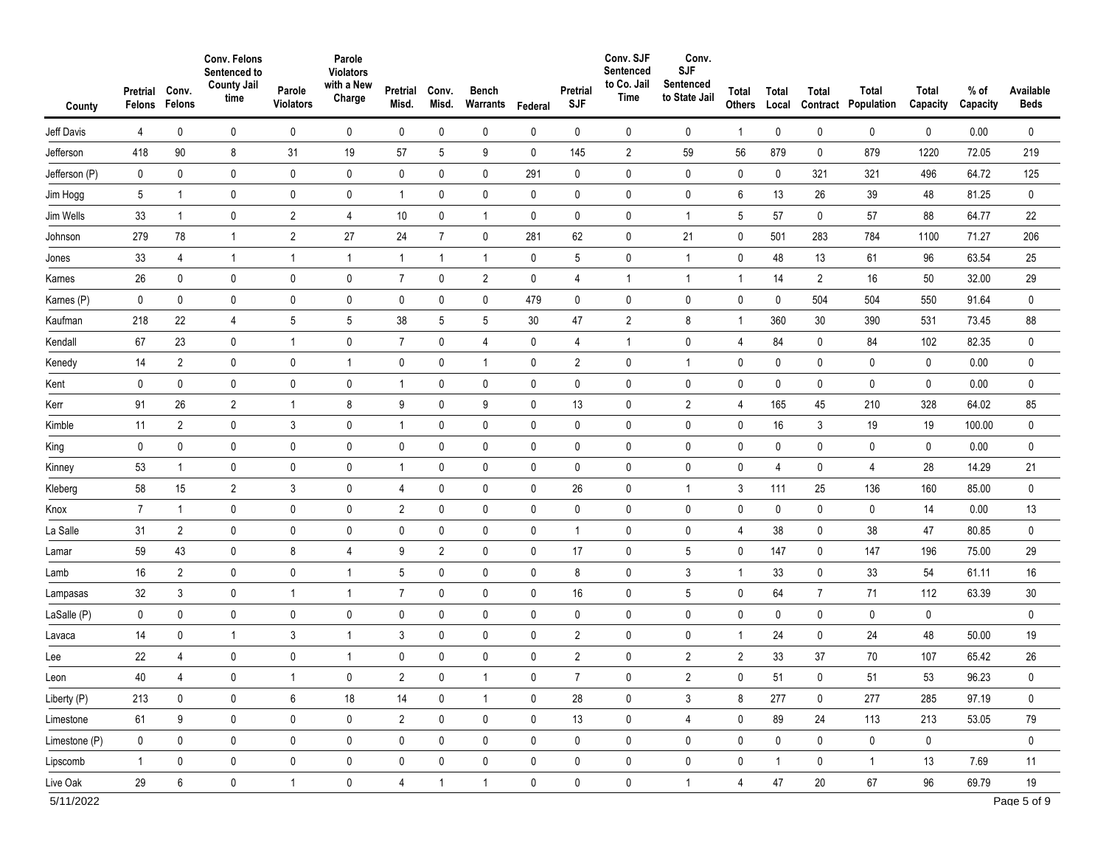| County        | Pretrial<br>Felons | Conv.<br>Felons  | Conv. Felons<br>Sentenced to<br><b>County Jail</b><br>time | Parole<br><b>Violators</b> | Parole<br><b>Violators</b><br>with a New<br>Charge | Pretrial<br>Misd. | Conv.<br>Misd. | <b>Bench</b><br>Warrants | Federal     | Pretrial<br><b>SJF</b> | Conv. SJF<br>Sentenced<br>to Co. Jail<br>Time | Conv.<br><b>SJF</b><br>Sentenced<br>to State Jail | Total<br>Others | Total<br>Local | Total<br>Contract | Total<br>Population | Total<br>Capacity | $%$ of<br>Capacity | Available<br><b>Beds</b> |
|---------------|--------------------|------------------|------------------------------------------------------------|----------------------------|----------------------------------------------------|-------------------|----------------|--------------------------|-------------|------------------------|-----------------------------------------------|---------------------------------------------------|-----------------|----------------|-------------------|---------------------|-------------------|--------------------|--------------------------|
| Jeff Davis    | 4                  | 0                | 0                                                          | 0                          | 0                                                  | 0                 | 0              | 0                        | 0           | 0                      | 0                                             | 0                                                 | $\mathbf{1}$    | 0              | 0                 | 0                   | 0                 | 0.00               | 0                        |
| Jefferson     | 418                | $90\,$           | 8                                                          | 31                         | 19                                                 | 57                | 5              | 9                        | 0           | 145                    | $\overline{2}$                                | 59                                                | 56              | 879            | 0                 | 879                 | 1220              | 72.05              | 219                      |
| Jefferson (P) | $\mathbf 0$        | $\mathbf 0$      | $\mathbf 0$                                                | $\pmb{0}$                  | $\pmb{0}$                                          | $\mathbf 0$       | $\pmb{0}$      | $\mathbf 0$              | 291         | $\mathbf 0$            | $\mathbf 0$                                   | 0                                                 | $\pmb{0}$       | $\mathbf 0$    | 321               | 321                 | 496               | 64.72              | 125                      |
| Jim Hogg      | 5                  | $\mathbf{1}$     | 0                                                          | $\mathbf 0$                | $\pmb{0}$                                          | $\mathbf{1}$      | 0              | $\pmb{0}$                | 0           | 0                      | 0                                             | 0                                                 | 6               | 13             | 26                | 39                  | 48                | 81.25              | 0                        |
| Jim Wells     | 33                 | $\mathbf{1}$     | 0                                                          | $\overline{2}$             | 4                                                  | 10                | $\pmb{0}$      | $\mathbf{1}$             | 0           | $\pmb{0}$              | $\pmb{0}$                                     | $\mathbf{1}$                                      | 5               | 57             | 0                 | 57                  | 88                | 64.77              | 22                       |
| Johnson       | 279                | 78               | 1                                                          | $\overline{2}$             | 27                                                 | 24                | $\overline{7}$ | $\pmb{0}$                | 281         | 62                     | $\mathbf 0$                                   | 21                                                | $\pmb{0}$       | 501            | 283               | 784                 | 1100              | 71.27              | 206                      |
| Jones         | 33                 | 4                | 1                                                          | $\overline{1}$             | $\mathbf{1}$                                       | $\mathbf{1}$      | $\mathbf{1}$   | $\mathbf{1}$             | 0           | $\sqrt{5}$             | $\pmb{0}$                                     | $\mathbf{1}$                                      | 0               | 48             | 13                | 61                  | 96                | 63.54              | 25                       |
| Karnes        | 26                 | $\pmb{0}$        | 0                                                          | $\pmb{0}$                  | $\pmb{0}$                                          | $\overline{7}$    | 0              | $\overline{2}$           | 0           | 4                      | $\mathbf{1}$                                  | $\mathbf{1}$                                      | $\mathbf{1}$    | 14             | $\overline{2}$    | 16                  | 50                | 32.00              | 29                       |
| Karnes (P)    | 0                  | $\pmb{0}$        | 0                                                          | $\pmb{0}$                  | $\pmb{0}$                                          | $\pmb{0}$         | 0              | 0                        | 479         | 0                      | $\pmb{0}$                                     | 0                                                 | 0               | 0              | 504               | 504                 | 550               | 91.64              | $\pmb{0}$                |
| Kaufman       | 218                | 22               | 4                                                          | 5                          | 5                                                  | 38                | 5              | $\,$ 5 $\,$              | $30\,$      | 47                     | $\overline{2}$                                | 8                                                 | $\mathbf{1}$    | 360            | 30                | 390                 | 531               | 73.45              | 88                       |
| Kendall       | 67                 | 23               | 0                                                          | $\mathbf 1$                | $\pmb{0}$                                          | $\overline{7}$    | $\pmb{0}$      | $\overline{4}$           | 0           | $\overline{4}$         | $\mathbf{1}$                                  | 0                                                 | 4               | 84             | 0                 | 84                  | 102               | 82.35              | 0                        |
| Kenedy        | 14                 | $\overline{2}$   | 0                                                          | 0                          | $\mathbf{1}$                                       | $\pmb{0}$         | 0              | $\mathbf{1}$             | 0           | $\overline{2}$         | $\pmb{0}$                                     | $\mathbf{1}$                                      | 0               | 0              | 0                 | 0                   | 0                 | 0.00               | $\pmb{0}$                |
| Kent          | 0                  | $\pmb{0}$        | 0                                                          | $\pmb{0}$                  | $\pmb{0}$                                          | $\mathbf{1}$      | 0              | 0                        | 0           | $\pmb{0}$              | $\pmb{0}$                                     | $\pmb{0}$                                         | 0               | 0              | 0                 | 0                   | 0                 | 0.00               | $\pmb{0}$                |
| Kerr          | 91                 | 26               | $\overline{2}$                                             | $\mathbf 1$                | 8                                                  | 9                 | 0              | 9                        | $\pmb{0}$   | 13                     | $\pmb{0}$                                     | $\overline{2}$                                    | 4               | 165            | 45                | 210                 | 328               | 64.02              | 85                       |
| Kimble        | 11                 | $\overline{2}$   | 0                                                          | 3                          | $\pmb{0}$                                          | $\mathbf{1}$      | 0              | 0                        | 0           | 0                      | $\pmb{0}$                                     | 0                                                 | 0               | 16             | 3                 | 19                  | 19                | 100.00             | $\pmb{0}$                |
| King          | 0                  | $\pmb{0}$        | 0                                                          | $\pmb{0}$                  | $\pmb{0}$                                          | $\pmb{0}$         | 0              | 0                        | $\pmb{0}$   | 0                      | $\pmb{0}$                                     | 0                                                 | 0               | $\pmb{0}$      | 0                 | 0                   | 0                 | 0.00               | $\pmb{0}$                |
| Kinney        | 53                 | $\mathbf{1}$     | $\mathbf 0$                                                | $\pmb{0}$                  | $\pmb{0}$                                          | $\mathbf{1}$      | $\pmb{0}$      | $\pmb{0}$                | $\pmb{0}$   | $\pmb{0}$              | $\pmb{0}$                                     | 0                                                 | $\pmb{0}$       | 4              | 0                 | 4                   | 28                | 14.29              | 21                       |
| Kleberg       | 58                 | 15               | $\overline{2}$                                             | 3                          | $\pmb{0}$                                          | 4                 | 0              | $\pmb{0}$                | 0           | 26                     | $\pmb{0}$                                     | $\mathbf{1}$                                      | 3               | 111            | 25                | 136                 | 160               | 85.00              | $\pmb{0}$                |
| Knox          | $\overline{7}$     | $\mathbf{1}$     | 0                                                          | $\pmb{0}$                  | $\pmb{0}$                                          | $\overline{2}$    | $\pmb{0}$      | $\pmb{0}$                | $\pmb{0}$   | $\pmb{0}$              | $\pmb{0}$                                     | 0                                                 | $\pmb{0}$       | 0              | 0                 | $\mathbf 0$         | 14                | 0.00               | 13                       |
| La Salle      | 31                 | $\overline{2}$   | $\mathbf 0$                                                | 0                          | $\pmb{0}$                                          | 0                 | 0              | 0                        | 0           | $\mathbf{1}$           | 0                                             | 0                                                 | 4               | 38             | 0                 | 38                  | 47                | 80.85              | 0                        |
| Lamar         | 59                 | 43               | 0                                                          | $\bf 8$                    | $\overline{\mathbf{4}}$                            | 9                 | $\overline{2}$ | $\pmb{0}$                | $\pmb{0}$   | 17                     | $\pmb{0}$                                     | 5                                                 | $\pmb{0}$       | 147            | 0                 | 147                 | 196               | 75.00              | 29                       |
| Lamb          | 16                 | $\overline{2}$   | 0                                                          | $\pmb{0}$                  | $\mathbf{1}$                                       | $\sqrt{5}$        | 0              | $\pmb{0}$                | 0           | 8                      | $\pmb{0}$                                     | 3                                                 | $\mathbf{1}$    | 33             | 0                 | 33                  | 54                | 61.11              | 16                       |
| Lampasas      | 32                 | 3                | $\mathbf 0$                                                | $\overline{1}$             | $\mathbf{1}$                                       | $\overline{7}$    | 0              | 0                        | 0           | 16                     | $\pmb{0}$                                     | 5                                                 | 0               | 64             | $\overline{7}$    | 71                  | 112               | 63.39              | $30\,$                   |
| LaSalle (P)   | 0                  | $\pmb{0}$        | 0                                                          | $\pmb{0}$                  | $\pmb{0}$                                          | $\mathsf{0}$      | 0              | $\pmb{0}$                | $\pmb{0}$   | $\mathbf 0$            | $\pmb{0}$                                     | 0                                                 | $\pmb{0}$       | 0              | 0                 | 0                   | 0                 |                    | $\pmb{0}$                |
| Lavaca        | 14                 | $\pmb{0}$        | $\overline{1}$                                             | $\mathsf 3$                | $\mathbf{1}$                                       | 3                 | 0              | 0                        | 0           | $\overline{2}$         | $\pmb{0}$                                     | 0                                                 | $\mathbf{1}$    | 24             | 0                 | 24                  | 48                | 50.00              | 19                       |
| Lee           | 22                 | 4                | 0                                                          | 0                          | $\mathbf{1}$                                       | 0                 | 0              | $\pmb{0}$                | 0           | $\overline{2}$         | 0                                             | $\overline{2}$                                    | $\overline{2}$  | 33             | 37                | 70                  | 107               | 65.42              | 26                       |
| Leon          | 40                 | 4                | 0                                                          |                            | 0                                                  | 2                 | 0              |                          | 0           |                        | 0                                             | 2                                                 | 0               | 51             | 0                 | 51                  | 53                | 96.23              | 0                        |
| Liberty (P)   | 213                | $\mathbf 0$      | 0                                                          | 6                          | $18$                                               | 14                | 0              | $\overline{1}$           | $\mathbf 0$ | 28                     | $\mathbf 0$                                   | 3                                                 | 8               | 277            | $\mathbf 0$       | 277                 | 285               | 97.19              | 0                        |
| Limestone     | 61                 | $\boldsymbol{9}$ | $\pmb{0}$                                                  | $\pmb{0}$                  | $\pmb{0}$                                          | $\overline{2}$    | 0              | $\pmb{0}$                | $\mathbf 0$ | 13                     | $\mathbf 0$                                   | $\overline{4}$                                    | $\mathbf 0$     | 89             | 24                | 113                 | 213               | 53.05              | 79                       |
| Limestone (P) | $\mathbf 0$        | $\pmb{0}$        | $\mathbf 0$                                                | $\mathbf 0$                | $\mathbf 0$                                        | $\mathsf{0}$      | 0              | $\mathbf 0$              | $\mathbf 0$ | 0                      | $\mathbf 0$                                   | 0                                                 | 0               | 0              | 0                 | $\mathbf 0$         | $\mathbf 0$       |                    | 0                        |
| Lipscomb      | $\mathbf{1}$       | $\pmb{0}$        | 0                                                          | $\pmb{0}$                  | $\pmb{0}$                                          | 0                 | 0              | $\pmb{0}$                | 0           | 0                      | $\mathbf 0$                                   | 0                                                 | 0               | $\mathbf{1}$   | 0                 | $\mathbf{1}$        | 13                | 7.69               | 11                       |
| Live Oak      | 29                 | $\boldsymbol{6}$ | $\mathbf 0$                                                | $\mathbf{1}$               | $\mathbf 0$                                        | $\overline{4}$    | $\mathbf{1}$   | $\mathbf{1}$             | $\mathbf 0$ | 0                      | $\mathbf 0$                                   | $\mathbf{1}$                                      | $\overline{4}$  | 47             | 20                | $67\,$              | 96                | 69.79              | 19                       |
| 5/11/2022     |                    |                  |                                                            |                            |                                                    |                   |                |                          |             |                        |                                               |                                                   |                 |                |                   |                     |                   |                    | Page 5 of 9              |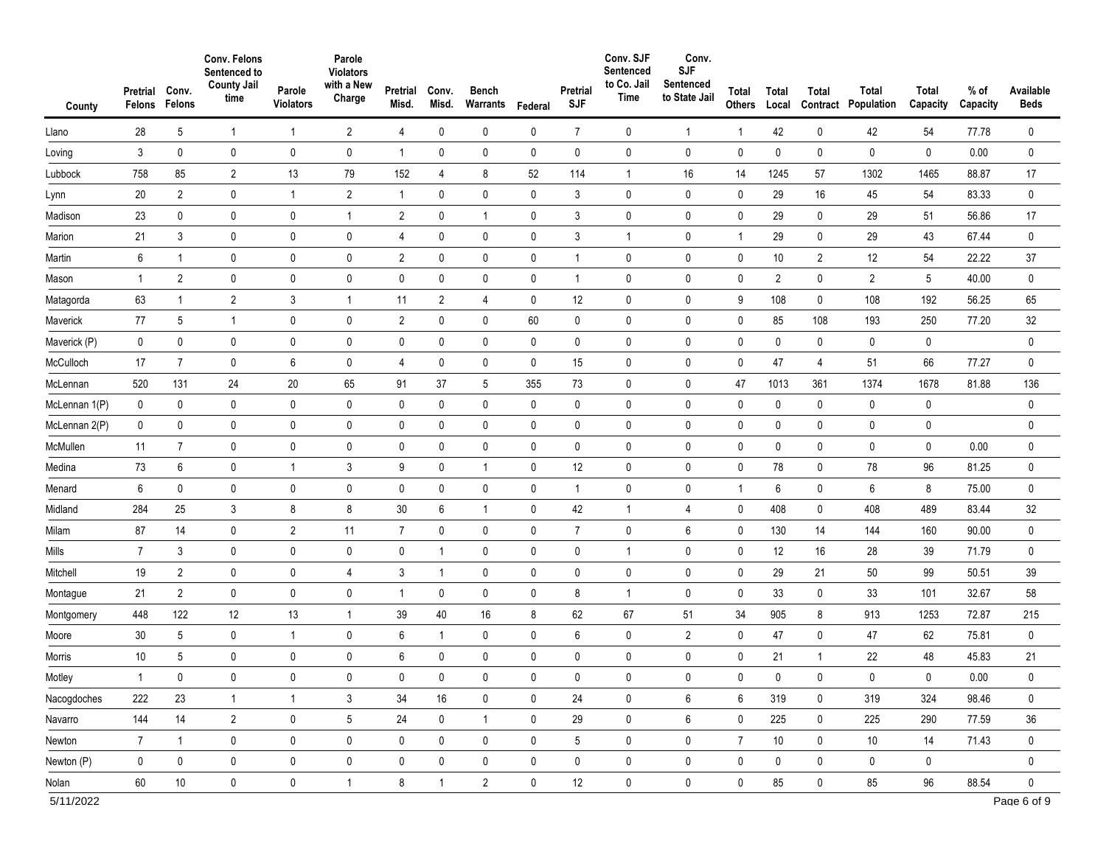| County        | Pretrial<br>Felons | Conv.<br>Felons | Conv. Felons<br>Sentenced to<br><b>County Jail</b><br>time | Parole<br>Violators | Parole<br><b>Violators</b><br>with a New<br>Charge | Pretrial<br>Misd. | Conv.<br>Misd. | <b>Bench</b><br>Warrants | Federal     | Pretrial<br><b>SJF</b> | Conv. SJF<br>Sentenced<br>to Co. Jail<br>Time | Conv.<br><b>SJF</b><br>Sentenced<br>to State Jail | Total<br>Others | Total<br>Local | Total<br>Contract | Total<br>Population | Total<br>Capacity | $%$ of<br>Capacity | Available<br><b>Beds</b> |
|---------------|--------------------|-----------------|------------------------------------------------------------|---------------------|----------------------------------------------------|-------------------|----------------|--------------------------|-------------|------------------------|-----------------------------------------------|---------------------------------------------------|-----------------|----------------|-------------------|---------------------|-------------------|--------------------|--------------------------|
| Llano         | 28                 | 5               | $\overline{1}$                                             | $\mathbf 1$         | $\overline{2}$                                     | $\overline{4}$    | 0              | 0                        | 0           | $\overline{7}$         | 0                                             | $\mathbf{1}$                                      | 1               | 42             | 0                 | 42                  | 54                | 77.78              | 0                        |
| Loving        | 3                  | 0               | 0                                                          | $\mathbf 0$         | $\pmb{0}$                                          | $\mathbf{1}$      | 0              | 0                        | 0           | $\mathbf 0$            | 0                                             | 0                                                 | 0               | 0              | 0                 | 0                   | 0                 | 0.00               | 0                        |
| Lubbock       | 758                | 85              | $\overline{2}$                                             | 13                  | 79                                                 | 152               | 4              | 8                        | 52          | 114                    | $\mathbf{1}$                                  | 16                                                | 14              | 1245           | 57                | 1302                | 1465              | 88.87              | 17                       |
| Lynn          | 20                 | $\overline{2}$  | 0                                                          | $\mathbf{1}$        | $\overline{2}$                                     | $\mathbf{1}$      | 0              | $\pmb{0}$                | 0           | 3                      | 0                                             | 0                                                 | 0               | 29             | 16                | 45                  | 54                | 83.33              | 0                        |
| Madison       | 23                 | 0               | 0                                                          | 0                   | $\mathbf{1}$                                       | $\overline{2}$    | 0              | $\mathbf{1}$             | 0           | 3                      | 0                                             | 0                                                 | 0               | 29             | 0                 | 29                  | 51                | 56.86              | 17                       |
| Marion        | 21                 | 3               | 0                                                          | $\mathbf 0$         | $\pmb{0}$                                          | 4                 | 0              | 0                        | 0           | 3                      | 1                                             | 0                                                 | $\mathbf{1}$    | 29             | 0                 | 29                  | 43                | 67.44              | 0                        |
| Martin        | 6                  | -1              | 0                                                          | $\pmb{0}$           | $\pmb{0}$                                          | $\overline{2}$    | $\pmb{0}$      | $\mathbf 0$              | 0           | $\mathbf{1}$           | 0                                             | 0                                                 | $\pmb{0}$       | 10             | $\overline{2}$    | 12                  | 54                | 22.22              | 37                       |
| Mason         | 1                  | $\overline{2}$  | 0                                                          | $\mathbf 0$         | $\pmb{0}$                                          | 0                 | 0              | $\mathbf 0$              | 0           | $\mathbf{1}$           | 0                                             | 0                                                 | 0               | $\overline{2}$ | 0                 | 2                   | 5                 | 40.00              | 0                        |
| Matagorda     | 63                 | -1              | $\overline{2}$                                             | 3                   | $\mathbf{1}$                                       | 11                | $\overline{2}$ | 4                        | 0           | 12                     | 0                                             | 0                                                 | 9               | 108            | 0                 | 108                 | 192               | 56.25              | 65                       |
| Maverick      | 77                 | 5               | -1                                                         | $\mathbf 0$         | $\pmb{0}$                                          | $\overline{2}$    | 0              | $\pmb{0}$                | 60          | 0                      | 0                                             | 0                                                 | 0               | 85             | 108               | 193                 | 250               | 77.20              | 32                       |
| Maverick (P)  | 0                  | 0               | 0                                                          | $\pmb{0}$           | $\pmb{0}$                                          | $\pmb{0}$         | 0              | $\mathbf 0$              | 0           | $\mathbf 0$            | $\pmb{0}$                                     | 0                                                 | 0               | 0              | 0                 | 0                   | 0                 |                    | 0                        |
| McCulloch     | 17                 | $\overline{7}$  | 0                                                          | 6                   | $\pmb{0}$                                          | 4                 | 0              | $\mathbf 0$              | 0           | 15                     | 0                                             | 0                                                 | $\mathbf 0$     | 47             | 4                 | 51                  | 66                | 77.27              | 0                        |
| McLennan      | 520                | 131             | 24                                                         | 20                  | 65                                                 | 91                | 37             | 5                        | 355         | 73                     | 0                                             | 0                                                 | 47              | 1013           | 361               | 1374                | 1678              | 81.88              | 136                      |
| McLennan 1(P) | 0                  | $\mathbf 0$     | 0                                                          | $\mathbf 0$         | $\pmb{0}$                                          | $\mathbf 0$       | 0              | $\pmb{0}$                | 0           | 0                      | 0                                             | 0                                                 | 0               | 0              | 0                 | 0                   | 0                 |                    | 0                        |
| McLennan 2(P) | 0                  | $\mathbf 0$     | 0                                                          | $\mathbf 0$         | $\pmb{0}$                                          | $\mathbf 0$       | 0              | $\mathbf 0$              | $\pmb{0}$   | $\pmb{0}$              | $\pmb{0}$                                     | 0                                                 | $\pmb{0}$       | $\mathbf 0$    | 0                 | 0                   | 0                 |                    | 0                        |
| McMullen      | 11                 | $\overline{7}$  | 0                                                          | $\mathbf 0$         | 0                                                  | $\mathbf 0$       | 0              | 0                        | 0           | 0                      | 0                                             | 0                                                 | 0               | 0              | 0                 | 0                   | 0                 | 0.00               | 0                        |
| Medina        | 73                 | 6               | 0                                                          | $\overline{1}$      | 3                                                  | 9                 | $\pmb{0}$      | $\mathbf{1}$             | 0           | 12                     | $\pmb{0}$                                     | 0                                                 | $\pmb{0}$       | 78             | 0                 | 78                  | 96                | 81.25              | $\pmb{0}$                |
| Menard        | 6                  | $\pmb{0}$       | 0                                                          | $\mathbf 0$         | $\pmb{0}$                                          | $\mathbf 0$       | 0              | $\pmb{0}$                | 0           | $\mathbf{1}$           | 0                                             | 0                                                 | $\mathbf{1}$    | 6              | 0                 | 6                   | 8                 | 75.00              | $\pmb{0}$                |
| Midland       | 284                | 25              | 3                                                          | 8                   | 8                                                  | $30\,$            | 6              | $\overline{1}$           | $\pmb{0}$   | 42                     | $\mathbf{1}$                                  | 4                                                 | 0               | 408            | 0                 | 408                 | 489               | 83.44              | 32                       |
| Milam         | 87                 | 14              | $\mathbf 0$                                                | $\overline{2}$      | 11                                                 | $\overline{7}$    | 0              | $\pmb{0}$                | 0           | $\overline{7}$         | 0                                             | 6                                                 | 0               | 130            | 14                | 144                 | 160               | 90.00              | 0                        |
| Mills         | $\overline{7}$     | 3               | 0                                                          | $\pmb{0}$           | $\pmb{0}$                                          | 0                 | 1              | 0                        | 0           | 0                      | $\mathbf{1}$                                  | 0                                                 | 0               | 12             | 16                | 28                  | 39                | 71.79              | $\pmb{0}$                |
| Mitchell      | 19                 | $\overline{2}$  | 0                                                          | $\mathbf 0$         | 4                                                  | 3                 | $\mathbf{1}$   | $\pmb{0}$                | 0           | 0                      | 0                                             | 0                                                 | 0               | 29             | 21                | 50                  | 99                | 50.51              | 39                       |
| Montague      | 21                 | $\overline{2}$  | 0                                                          | $\pmb{0}$           | $\pmb{0}$                                          | $\overline{1}$    | 0              | 0                        | $\pmb{0}$   | 8                      | $\mathbf{1}$                                  | 0                                                 | 0               | 33             | 0                 | 33                  | 101               | 32.67              | 58                       |
| Montgomery    | 448                | 122             | 12                                                         | 13                  | $\mathbf{1}$                                       | 39                | 40             | 16                       | 8           | 62                     | 67                                            | 51                                                | 34              | 905            | 8                 | 913                 | 1253              | 72.87              | 215                      |
| Moore         | 30                 | 5               | 0                                                          | $\overline{1}$      | $\pmb{0}$                                          | $\,6\,$           | $\mathbf{1}$   | $\pmb{0}$                | 0           | $\boldsymbol{6}$       | $\pmb{0}$                                     | $\overline{2}$                                    | 0               | 47             | 0                 | 47                  | 62                | 75.81              | $\pmb{0}$                |
| Morris        | 10                 | 5               | 0                                                          | 0                   | $\pmb{0}$                                          | $\,6\,$           | 0              | 0                        | 0           | 0                      | 0                                             | 0                                                 | 0               | 21             | $\mathbf{1}$      | 22                  | 48                | 45.83              | 21                       |
| Motley        | $\mathbf{1}$       | 0               | 0                                                          | 0                   | 0                                                  | 0                 | $\mathbf 0$    | 0                        | 0           | $\mathbf 0$            | 0                                             | 0                                                 | $\pmb{0}$       | 0              | 0                 | 0                   | $\mathbf 0$       | 0.00               | 0                        |
| Nacogdoches   | 222                | 23              | $\overline{1}$                                             | $\overline{1}$      | 3                                                  | 34                | 16             | $\mathbf 0$              | $\mathbf 0$ | 24                     | $\mathbf 0$                                   | 6                                                 | 6               | 319            | $\mathbf 0$       | 319                 | 324               | 98.46              | 0                        |
| Navarro       | 144                | 14              | $\overline{2}$                                             | $\pmb{0}$           | $\mathbf 5$                                        | 24                | 0              | $\mathbf{1}$             | $\pmb{0}$   | 29                     | $\mathbf 0$                                   | 6                                                 | $\pmb{0}$       | 225            | 0                 | 225                 | 290               | 77.59              | 36                       |
| Newton        | $\overline{7}$     | $\mathbf{1}$    | $\pmb{0}$                                                  | $\mathbf 0$         | $\pmb{0}$                                          | $\mathbf 0$       | 0              | $\pmb{0}$                | $\mathbf 0$ | $5\overline{)}$        | $\mathbf 0$                                   | $\mathbf 0$                                       | $\overline{7}$  | $10\,$         | $\mathbf 0$       | $10$                | 14                | 71.43              | $\pmb{0}$                |
| Newton (P)    | $\mathbf 0$        | $\pmb{0}$       | $\pmb{0}$                                                  | $\pmb{0}$           | $\pmb{0}$                                          | $\mathbf 0$       | $\pmb{0}$      | $\pmb{0}$                | $\mathbf 0$ | $\mathbf 0$            | $\mathbf 0$                                   | $\pmb{0}$                                         | $\pmb{0}$       | $\mathbf 0$    | $\mathbf 0$       | $\mathbf 0$         | $\mathbf 0$       |                    | $\pmb{0}$                |
| Nolan         | 60                 | 10              | $\mathbf 0$                                                | $\mathbf 0$         | $\mathbf{1}$                                       | 8                 | $\mathbf{1}$   | $\overline{2}$           | $\mathbf 0$ | 12                     | $\mathbf 0$                                   | 0                                                 | $\mathbf 0$     | 85             | $\mathbf 0$       | 85                  | 96                | 88.54              | $\mathbf 0$              |
| 5/11/2022     |                    |                 |                                                            |                     |                                                    |                   |                |                          |             |                        |                                               |                                                   |                 |                |                   |                     |                   |                    | Page 6 of 9              |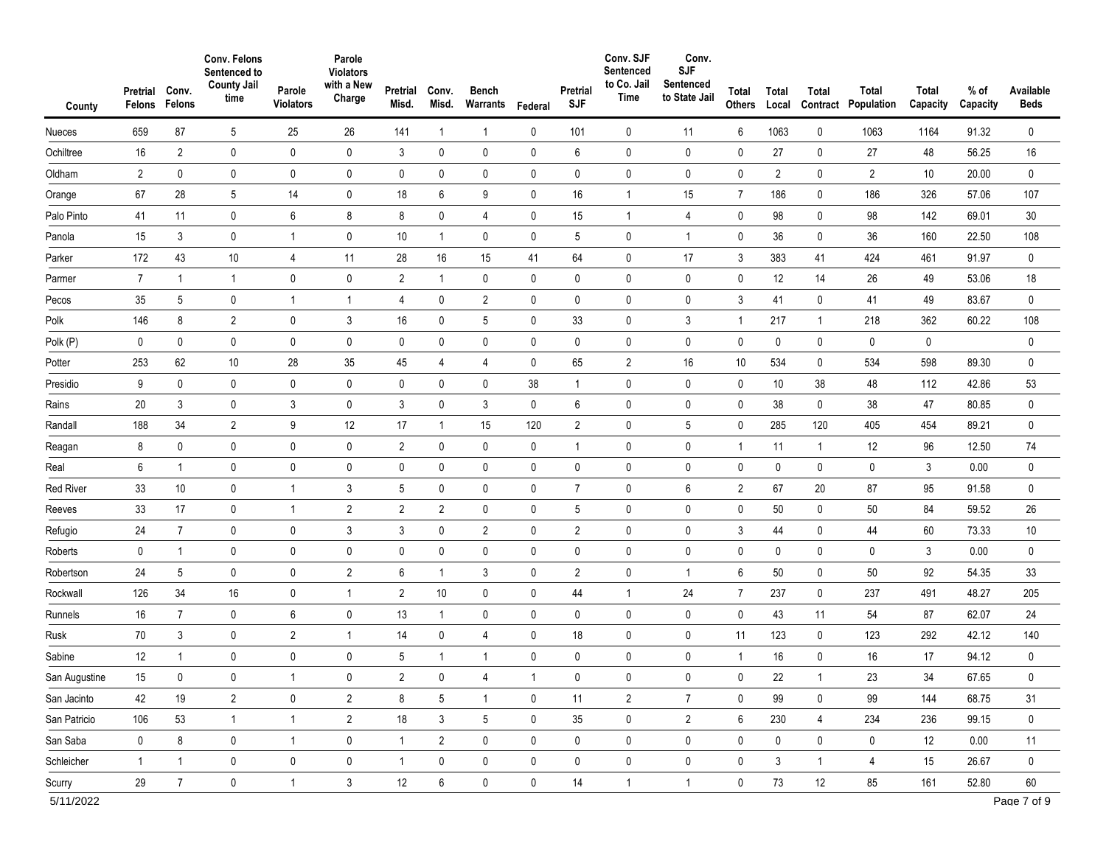| County              | Pretrial<br>Felons | Conv.<br>Felons | Conv. Felons<br>Sentenced to<br><b>County Jail</b><br>time | Parole<br><b>Violators</b> | Parole<br><b>Violators</b><br>with a New<br>Charge | Pretrial<br>Misd. | Conv.<br>Misd.  | <b>Bench</b><br>Warrants | Federal     | Pretrial<br><b>SJF</b> | Conv. SJF<br>Sentenced<br>to Co. Jail<br>Time | Conv.<br><b>SJF</b><br>Sentenced<br>to State Jail | Total<br><b>Others</b> | Total<br>Local | <b>Total</b><br>Contract | Total<br>Population | Total<br>Capacity | $%$ of<br>Capacity | Available<br><b>Beds</b> |
|---------------------|--------------------|-----------------|------------------------------------------------------------|----------------------------|----------------------------------------------------|-------------------|-----------------|--------------------------|-------------|------------------------|-----------------------------------------------|---------------------------------------------------|------------------------|----------------|--------------------------|---------------------|-------------------|--------------------|--------------------------|
| Nueces              | 659                | 87              | 5                                                          | 25                         | 26                                                 | 141               | $\mathbf{1}$    | $\mathbf{1}$             | 0           | 101                    | 0                                             | 11                                                | 6                      | 1063           | 0                        | 1063                | 1164              | 91.32              | 0                        |
| Ochiltree           | 16                 | $\overline{2}$  | $\mathbf 0$                                                | $\pmb{0}$                  | $\mathbf 0$                                        | $\mathfrak{Z}$    | 0               | $\mathbf 0$              | $\pmb{0}$   | 6                      | $\mathbf 0$                                   | 0                                                 | 0                      | 27             | 0                        | 27                  | 48                | 56.25              | 16                       |
| Oldham              | $\overline{2}$     | $\mathbf 0$     | 0                                                          | 0                          | $\pmb{0}$                                          | 0                 | 0               | 0                        | 0           | $\pmb{0}$              | $\pmb{0}$                                     | $\mathbf 0$                                       | $\pmb{0}$              | $\overline{2}$ | 0                        | $\overline{2}$      | 10                | 20.00              | $\pmb{0}$                |
| Orange              | 67                 | 28              | 5                                                          | 14                         | $\pmb{0}$                                          | 18                | 6               | 9                        | 0           | 16                     | $\mathbf{1}$                                  | 15                                                | $\overline{7}$         | 186            | 0                        | 186                 | 326               | 57.06              | 107                      |
| Palo Pinto          | 41                 | 11              | $\pmb{0}$                                                  | 6                          | 8                                                  | 8                 | $\pmb{0}$       | 4                        | 0           | 15                     | $\overline{1}$                                | $\overline{4}$                                    | $\pmb{0}$              | 98             | 0                        | 98                  | 142               | 69.01              | 30                       |
| Panola              | 15                 | 3               | 0                                                          | $\mathbf{1}$               | $\pmb{0}$                                          | 10                | $\mathbf{1}$    | 0                        | 0           | 5                      | 0                                             | $\mathbf{1}$                                      | 0                      | 36             | 0                        | 36                  | 160               | 22.50              | 108                      |
| Parker              | 172                | 43              | 10                                                         | 4                          | 11                                                 | 28                | 16              | 15                       | 41          | 64                     | $\pmb{0}$                                     | 17                                                | 3                      | 383            | 41                       | 424                 | 461               | 91.97              | $\mathbf 0$              |
| Parmer              | $\overline{7}$     | $\mathbf{1}$    | $\mathbf{1}$                                               | 0                          | $\pmb{0}$                                          | $\overline{2}$    | $\mathbf{1}$    | 0                        | 0           | 0                      | 0                                             | 0                                                 | 0                      | 12             | 14                       | 26                  | 49                | 53.06              | 18                       |
| Pecos               | 35                 | 5               | 0                                                          | $\mathbf{1}$               | $\mathbf{1}$                                       | $\overline{4}$    | 0               | $\overline{2}$           | 0           | 0                      | 0                                             | 0                                                 | 3                      | 41             | 0                        | 41                  | 49                | 83.67              | 0                        |
| Polk                | 146                | 8               | $\overline{2}$                                             | 0                          | 3                                                  | 16                | 0               | 5                        | $\pmb{0}$   | 33                     | $\mathbf 0$                                   | 3                                                 | $\mathbf{1}$           | 217            | $\mathbf{1}$             | 218                 | 362               | 60.22              | 108                      |
| Polk (P)            | 0                  | $\pmb{0}$       | 0                                                          | 0                          | $\pmb{0}$                                          | 0                 | 0               | $\pmb{0}$                | $\mathbf 0$ | 0                      | $\pmb{0}$                                     | $\pmb{0}$                                         | 0                      | 0              | 0                        | 0                   | 0                 |                    | $\pmb{0}$                |
| Potter              | 253                | 62              | 10                                                         | 28                         | 35                                                 | 45                | 4               | 4                        | $\pmb{0}$   | 65                     | $\overline{2}$                                | 16                                                | 10                     | 534            | 0                        | 534                 | 598               | 89.30              | 0                        |
| Presidio            | 9                  | 0               | 0                                                          | 0                          | $\pmb{0}$                                          | 0                 | 0               | 0                        | 38          | $\mathbf{1}$           | $\pmb{0}$                                     | 0                                                 | 0                      | 10             | 38                       | 48                  | 112               | 42.86              | 53                       |
| Rains               | 20                 | 3               | 0                                                          | 3                          | $\pmb{0}$                                          | $\mathfrak{Z}$    | $\pmb{0}$       | 3                        | $\mathbf 0$ | 6                      | $\pmb{0}$                                     | 0                                                 | 0                      | 38             | 0                        | 38                  | 47                | 80.85              | $\pmb{0}$                |
| Randall             | 188                | 34              | $\overline{2}$                                             | 9                          | 12                                                 | 17                | $\mathbf{1}$    | 15                       | 120         | $\overline{2}$         | $\pmb{0}$                                     | 5                                                 | $\mathbf 0$            | 285            | 120                      | 405                 | 454               | 89.21              | 0                        |
| Reagan              | 8                  | $\pmb{0}$       | 0                                                          | 0                          | $\pmb{0}$                                          | $\overline{2}$    | 0               | $\pmb{0}$                | $\mathbf 0$ | $\mathbf{1}$           | 0                                             | 0                                                 | $\mathbf{1}$           | 11             | $\mathbf{1}$             | 12                  | 96                | 12.50              | 74                       |
| Real                | 6                  | $\mathbf 1$     | 0                                                          | 0                          | $\pmb{0}$                                          | 0                 | $\pmb{0}$       | $\pmb{0}$                | $\pmb{0}$   | $\pmb{0}$              | $\pmb{0}$                                     | $\pmb{0}$                                         | $\pmb{0}$              | 0              | 0                        | 0                   | 3                 | 0.00               | $\pmb{0}$                |
| <b>Red River</b>    | 33                 | 10              | 0                                                          | $\mathbf 1$                | $\mathsf 3$                                        | 5                 | 0               | $\pmb{0}$                | $\mathbf 0$ | $\overline{7}$         | $\mathbf 0$                                   | 6                                                 | $\overline{2}$         | 67             | 20                       | 87                  | 95                | 91.58              | 0                        |
| Reeves              | 33                 | 17              | 0                                                          | $\mathbf{1}$               | $\sqrt{2}$                                         | $\sqrt{2}$        | $\overline{2}$  | $\mathsf{O}\xspace$      | $\pmb{0}$   | $\sqrt{5}$             | 0                                             | $\pmb{0}$                                         | $\mathbf 0$            | 50             | 0                        | 50                  | 84                | 59.52              | 26                       |
| Refugio             | 24                 | $\overline{7}$  | 0                                                          | 0                          | 3                                                  | 3                 | 0               | $\overline{2}$           | $\mathbf 0$ | $\overline{2}$         | 0                                             | 0                                                 | 3                      | 44             | 0                        | 44                  | 60                | 73.33              | 10                       |
| Roberts             | 0                  | $\mathbf{1}$    | 0                                                          | 0                          | $\pmb{0}$                                          | 0                 | 0               | $\pmb{0}$                | $\mathbf 0$ | $\pmb{0}$              | $\pmb{0}$                                     | 0                                                 | $\mathbf 0$            | 0              | 0                        | 0                   | 3                 | 0.00               | $\pmb{0}$                |
| Robertson           | 24                 | 5               | 0                                                          | 0                          | $\overline{2}$                                     | 6                 | $\mathbf{1}$    | 3                        | $\mathbf 0$ | $\overline{2}$         | $\mathbf 0$                                   | $\mathbf{1}$                                      | $6\phantom{1}$         | 50             | 0                        | 50                  | 92                | 54.35              | 33                       |
| Rockwall            | 126                | 34              | 16                                                         | 0                          | $\mathbf{1}$                                       | $\overline{c}$    | 10              | 0                        | 0           | 44                     | $\mathbf{1}$                                  | 24                                                | 7                      | 237            | 0                        | 237                 | 491               | 48.27              | 205                      |
| Runnels             | 16                 | $\overline{7}$  | 0                                                          | 6                          | $\pmb{0}$                                          | 13                | $\mathbf{1}$    | $\pmb{0}$                | $\mathbf 0$ | 0                      | $\mathbf 0$                                   | 0                                                 | $\pmb{0}$              | 43             | 11                       | 54                  | 87                | 62.07              | 24                       |
| Rusk                | 70                 | 3               | 0                                                          | $\overline{c}$             | $\mathbf{1}$                                       | 14                | 0               | $\overline{4}$           | 0           | 18                     | $\pmb{0}$                                     | 0                                                 | 11                     | 123            | 0                        | 123                 | 292               | 42.12              | 140                      |
| Sabine              | 12                 | $\mathbf 1$     | 0                                                          | 0                          | $\pmb{0}$                                          | 5                 | $\mathbf{1}$    | $\mathbf{1}$             | 0           | $\mathbf 0$            | 0                                             | 0                                                 | $\mathbf{1}$           | 16             | 0                        | 16                  | 17                | 94.12              | 0                        |
| San Augustine       | 15                 | 0               | 0                                                          |                            | 0                                                  | 2                 | 0               | 4                        |             | $\mathbf 0$            | 0                                             |                                                   | 0                      | 22             |                          | 23                  | 34                | 67.65              | 0                        |
| San Jacinto         | 42                 | 19              | $\overline{2}$                                             | 0                          | $\overline{2}$                                     | 8                 | $5\phantom{.0}$ | $\overline{1}$           | $\mathbf 0$ | 11                     | $\overline{2}$                                | $\overline{7}$                                    | 0                      | 99             | 0                        | 99                  | 144               | 68.75              | 31                       |
| San Patricio        | 106                | 53              | $\mathbf{1}$                                               | $\mathbf{1}$               | $\overline{2}$                                     | 18                | $\mathfrak{Z}$  | 5                        | $\mathbf 0$ | 35                     | $\pmb{0}$                                     | $\overline{2}$                                    | 6                      | 230            | $\overline{4}$           | 234                 | 236               | 99.15              | $\pmb{0}$                |
| San Saba            | 0                  | 8               | $\pmb{0}$                                                  | $\mathbf{1}$               | $\pmb{0}$                                          | $\mathbf{1}$      | $\overline{2}$  | 0                        | $\mathbf 0$ | 0                      | $\mathbf 0$                                   | 0                                                 | 0                      | 0              | 0                        | $\mathbf 0$         | 12                | 0.00               | 11                       |
| Schleicher          | $\mathbf{1}$       | $\mathbf{1}$    | $\pmb{0}$                                                  | $\pmb{0}$                  | $\pmb{0}$                                          | $\mathbf{1}$      | 0               | $\pmb{0}$                | $\mathbf 0$ | $\pmb{0}$              | $\mathbf 0$                                   | $\pmb{0}$                                         | 0                      | 3              | $\mathbf{1}$             | 4                   | 15                | 26.67              | 0                        |
| Scurry<br>5/11/2022 | 29                 | $7\overline{ }$ | $\mathbf 0$                                                | $\mathbf{1}$               | $\mathfrak{Z}$                                     | 12                | 6               | $\mathbf 0$              | $\mathbf 0$ | 14                     | $\mathbf{1}$                                  | $\mathbf{1}$                                      | 0                      | 73             | 12                       | 85                  | 161               | 52.80              | 60<br>Page 7 of 9        |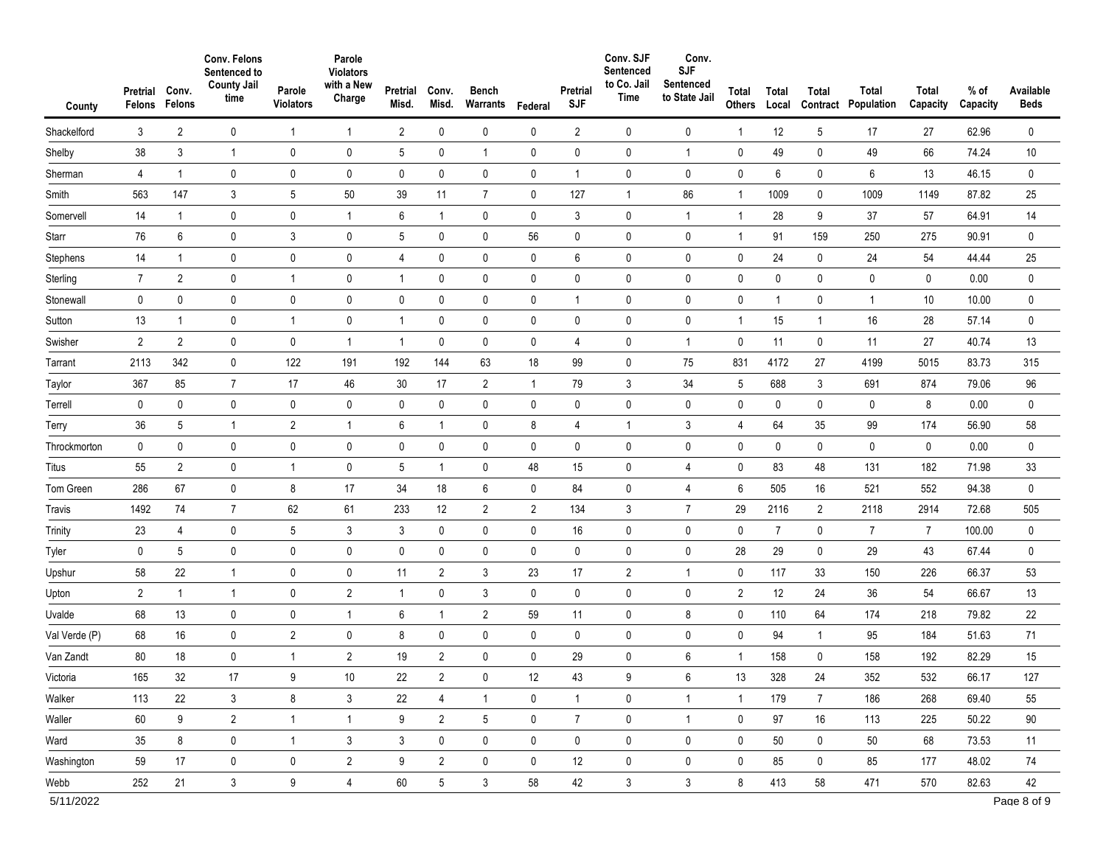| County            | Pretrial<br>Felons | Conv.<br>Felons | Conv. Felons<br>Sentenced to<br><b>County Jail</b><br>time | Parole<br><b>Violators</b> | Parole<br><b>Violators</b><br>with a New<br>Charge | Pretrial<br>Misd. | Conv.<br>Misd. | <b>Bench</b><br>Warrants | Federal        | Pretrial<br><b>SJF</b> | Conv. SJF<br>Sentenced<br>to Co. Jail<br>Time | Conv.<br><b>SJF</b><br>Sentenced<br>to State Jail | Total<br>Others | Total<br>Local | <b>Total</b><br>Contract | Total<br>Population | Total<br>Capacity | $%$ of<br>Capacity | Available<br><b>Beds</b> |
|-------------------|--------------------|-----------------|------------------------------------------------------------|----------------------------|----------------------------------------------------|-------------------|----------------|--------------------------|----------------|------------------------|-----------------------------------------------|---------------------------------------------------|-----------------|----------------|--------------------------|---------------------|-------------------|--------------------|--------------------------|
| Shackelford       | 3                  | $\overline{2}$  | 0                                                          | $\overline{1}$             | $\mathbf{1}$                                       | $\overline{2}$    | $\mathbf 0$    | 0                        | 0              | $\overline{2}$         | 0                                             | 0                                                 | -1              | 12             | 5                        | 17                  | 27                | 62.96              | $\pmb{0}$                |
| Shelby            | 38                 | $\mathbf{3}$    | 1                                                          | 0                          | $\pmb{0}$                                          | 5                 | 0              | $\mathbf{1}$             | 0              | $\pmb{0}$              | 0                                             | $\mathbf{1}$                                      | $\mathbf 0$     | 49             | 0                        | 49                  | 66                | 74.24              | 10                       |
| Sherman           | 4                  | $\overline{1}$  | 0                                                          | 0                          | $\pmb{0}$                                          | 0                 | $\mathbf 0$    | $\pmb{0}$                | $\mathbf 0$    | $\mathbf{1}$           | $\mathbf 0$                                   | $\pmb{0}$                                         | $\mathbf 0$     | 6              | 0                        | 6                   | 13                | 46.15              | $\pmb{0}$                |
| Smith             | 563                | 147             | 3                                                          | 5                          | 50                                                 | 39                | 11             | $\overline{7}$           | 0              | 127                    | $\mathbf{1}$                                  | 86                                                | $\mathbf{1}$    | 1009           | 0                        | 1009                | 1149              | 87.82              | 25                       |
| Somervell         | 14                 | $\overline{1}$  | 0                                                          | 0                          | $\mathbf{1}$                                       | 6                 | $\overline{1}$ | $\pmb{0}$                | 0              | 3                      | 0                                             | $\mathbf{1}$                                      | $\overline{1}$  | 28             | 9                        | 37                  | 57                | 64.91              | 14                       |
| Starr             | 76                 | $6\phantom{.0}$ | 0                                                          | 3                          | $\pmb{0}$                                          | 5                 | 0              | $\pmb{0}$                | 56             | 0                      | 0                                             | 0                                                 | $\mathbf{1}$    | 91             | 159                      | 250                 | 275               | 90.91              | $\pmb{0}$                |
| Stephens          | 14                 | $\overline{1}$  | 0                                                          | 0                          | $\pmb{0}$                                          | $\overline{4}$    | $\mathbf 0$    | $\pmb{0}$                | 0              | 6                      | 0                                             | 0                                                 | $\mathbf 0$     | 24             | 0                        | 24                  | 54                | 44.44              | 25                       |
| Sterling          | $\overline{7}$     | $\overline{2}$  | 0                                                          | $\mathbf{1}$               | $\pmb{0}$                                          | $\mathbf{1}$      | $\pmb{0}$      | $\pmb{0}$                | 0              | 0                      | $\pmb{0}$                                     | 0                                                 | $\mathbf 0$     | 0              | 0                        | 0                   | 0                 | 0.00               | $\pmb{0}$                |
| Stonewall         | 0                  | $\pmb{0}$       | 0                                                          | 0                          | $\pmb{0}$                                          | 0                 | $\pmb{0}$      | $\pmb{0}$                | 0              | $\overline{1}$         | 0                                             | 0                                                 | 0               | 1              | 0                        | $\overline{1}$      | 10                | 10.00              | $\pmb{0}$                |
| Sutton            | 13                 | $\mathbf{1}$    | 0                                                          | $\mathbf{1}$               | $\pmb{0}$                                          | $\overline{1}$    | 0              | $\pmb{0}$                | 0              | 0                      | $\mathbf 0$                                   | 0                                                 | $\overline{1}$  | 15             | $\mathbf{1}$             | 16                  | 28                | 57.14              | $\pmb{0}$                |
| Swisher           | $\overline{c}$     | $\overline{2}$  | 0                                                          | 0                          | $\mathbf{1}$                                       | $\mathbf{1}$      | $\mathbf 0$    | $\pmb{0}$                | 0              | 4                      | 0                                             | $\mathbf{1}$                                      | $\mathbf 0$     | 11             | 0                        | 11                  | 27                | 40.74              | 13                       |
| Tarrant           | 2113               | 342             | 0                                                          | 122                        | 191                                                | 192               | 144            | 63                       | 18             | 99                     | 0                                             | 75                                                | 831             | 4172           | 27                       | 4199                | 5015              | 83.73              | 315                      |
| Taylor            | 367                | 85              | $\overline{7}$                                             | 17                         | 46                                                 | 30                | 17             | $\overline{2}$           | 1              | 79                     | 3                                             | 34                                                | 5               | 688            | 3                        | 691                 | 874               | 79.06              | 96                       |
| Terrell           | 0                  | $\pmb{0}$       | 0                                                          | 0                          | $\pmb{0}$                                          | 0                 | $\pmb{0}$      | $\pmb{0}$                | $\pmb{0}$      | 0                      | $\mathbf 0$                                   | 0                                                 | $\mathbf 0$     | 0              | 0                        | 0                   | 8                 | 0.00               | $\pmb{0}$                |
| Terry             | 36                 | 5               | 1                                                          | $\overline{c}$             | $\mathbf{1}$                                       | 6                 | $\overline{1}$ | $\pmb{0}$                | 8              | 4                      | 1                                             | 3                                                 | 4               | 64             | 35                       | 99                  | 174               | 56.90              | 58                       |
| Throckmorton      | 0                  | $\pmb{0}$       | 0                                                          | 0                          | $\pmb{0}$                                          | 0                 | $\pmb{0}$      | $\pmb{0}$                | $\pmb{0}$      | $\mathbf 0$            | 0                                             | 0                                                 | $\mathbf 0$     | 0              | 0                        | 0                   | 0                 | 0.00               | 0                        |
| <b>Titus</b>      | 55                 | $\overline{2}$  | 0                                                          | $\mathbf{1}$               | $\pmb{0}$                                          | 5                 | $\mathbf{1}$   | $\pmb{0}$                | 48             | 15                     | 0                                             | $\overline{4}$                                    | $\mathbf 0$     | 83             | 48                       | 131                 | 182               | 71.98              | 33                       |
| Tom Green         | 286                | 67              | 0                                                          | 8                          | 17                                                 | 34                | 18             | $\,6\,$                  | 0              | 84                     | $\pmb{0}$                                     | 4                                                 | 6               | 505            | 16                       | 521                 | 552               | 94.38              | $\pmb{0}$                |
| Travis            | 1492               | 74              | $\overline{7}$                                             | 62                         | 61                                                 | 233               | 12             | $\sqrt{2}$               | $\overline{c}$ | 134                    | 3                                             | $\overline{7}$                                    | 29              | 2116           | $\overline{2}$           | 2118                | 2914              | 72.68              | 505                      |
| Trinity           | 23                 | 4               | 0                                                          | 5                          | $\mathsf 3$                                        | 3                 | 0              | $\pmb{0}$                | 0              | 16                     | 0                                             | 0                                                 | $\mathbf 0$     | $\overline{7}$ | 0                        | $\overline{7}$      | $\overline{7}$    | 100.00             | $\mathbf 0$              |
| Tyler             | 0                  | 5               | $\pmb{0}$                                                  | 0                          | $\pmb{0}$                                          | 0                 | $\pmb{0}$      | $\pmb{0}$                | 0              | $\pmb{0}$              | $\pmb{0}$                                     | $\pmb{0}$                                         | 28              | 29             | 0                        | 29                  | 43                | 67.44              | $\pmb{0}$                |
| Upshur            | 58                 | 22              | 1                                                          | 0                          | $\pmb{0}$                                          | 11                | $\overline{2}$ | $\mathsf 3$              | 23             | 17                     | $\overline{2}$                                | $\mathbf{1}$                                      | $\mathbf 0$     | 117            | 33                       | 150                 | 226               | 66.37              | 53                       |
| Upton             | $\overline{c}$     | $\overline{1}$  | 1                                                          | 0                          | $\sqrt{2}$                                         | $\mathbf{1}$      | 0              | $\mathfrak{Z}$           | 0              | 0                      | 0                                             | 0                                                 | $\overline{2}$  | 12             | 24                       | 36                  | 54                | 66.67              | 13                       |
| Uvalde            | 68                 | 13              | 0                                                          | 0                          | $\mathbf{1}$                                       | 6                 | $\overline{1}$ | $\sqrt{2}$               | 59             | 11                     | 0                                             | 8                                                 | $\mathbf 0$     | 110            | 64                       | 174                 | 218               | 79.82              | 22                       |
| Val Verde (P)     | 68                 | 16              | 0                                                          | $\overline{c}$             | $\pmb{0}$                                          | 8                 | $\mathbf 0$    | $\pmb{0}$                | 0              | 0                      | 0                                             | $\pmb{0}$                                         | 0               | 94             | 1                        | 95                  | 184               | 51.63              | 71                       |
| Van Zandt         | 80                 | 18              | 0                                                          | $\mathbf{1}$               | $\sqrt{2}$                                         | 19                | $\overline{2}$ | $\pmb{0}$                | 0              | 29                     | 0                                             | 6                                                 | $\mathbf 1$     | 158            | 0                        | 158                 | 192               | 82.29              | 15                       |
| Victoria          | 165                | 32              | 17                                                         | 9                          | 10                                                 | 22                | 2              | 0                        | 12             | 43                     | 9                                             | b                                                 | 13              | 328            | 24                       | 352                 | 532               | 66.17              | 127                      |
| Walker            | 113                | 22              | 3                                                          | 8                          | $\mathbf{3}$                                       | 22                | $\overline{4}$ | $\mathbf{1}$             | 0              | $\mathbf{1}$           | 0                                             | $\mathbf{1}$                                      | $\overline{1}$  | 179            | $7^{\circ}$              | 186                 | 268               | 69.40              | 55                       |
| Waller            | $60\,$             | 9               | $\overline{2}$                                             | $\mathbf{1}$               | $\mathbf{1}$                                       | 9                 | $\overline{2}$ | $5\phantom{.0}$          | $\mathbf 0$    | $\overline{7}$         | $\mathbf 0$                                   | $\mathbf{1}$                                      | $\mathbf 0$     | 97             | 16                       | 113                 | 225               | 50.22              | $90\,$                   |
| Ward              | 35                 | 8               | 0                                                          | $\mathbf{1}$               | $\mathbf{3}$                                       | 3                 | 0              | $\pmb{0}$                | 0              | $\mathsf{O}$           | $\mathbf 0$                                   | 0                                                 | $\mathbf 0$     | 50             | 0                        | 50                  | 68                | 73.53              | 11                       |
| Washington        | 59                 | 17              | 0                                                          | 0                          | $\overline{2}$                                     | 9                 | $\overline{2}$ | $\pmb{0}$                | 0              | 12                     | 0                                             | 0                                                 | 0               | 85             | 0                        | 85                  | 177               | 48.02              | 74                       |
| Webb<br>5/11/2022 | 252                | 21              | 3 <sup>1</sup>                                             | 9                          | $\overline{4}$                                     | 60                | 5              | $\mathbf{3}$             | 58             | 42                     | $\mathbf{3}$                                  | 3                                                 | 8               | 413            | 58                       | 471                 | 570               | 82.63              | 42<br>Page 8 of 9        |